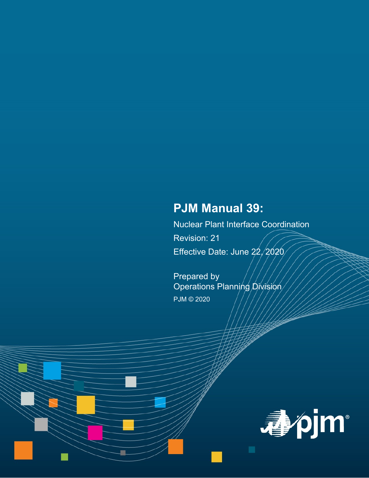# **PJM Manual 39:**

Nuclear Plant Interface Coordination Revision: 21 Effective Date: June 22/2020

Prepared by Operations Planning Division PJM © 2020

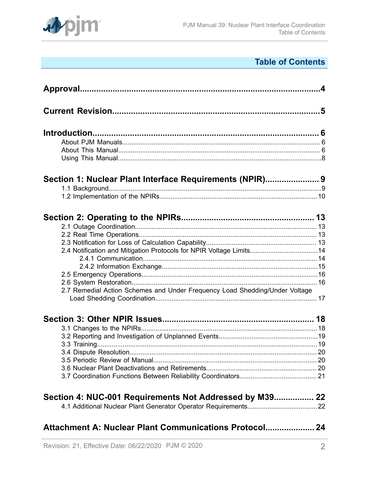

# **Table of Contents**

| Section 1: Nuclear Plant Interface Requirements (NPIR) 9                                                                                           |
|----------------------------------------------------------------------------------------------------------------------------------------------------|
|                                                                                                                                                    |
| 2.4 Notification and Mitigation Protocols for NPIR Voltage Limits14<br>2.7 Remedial Action Schemes and Under Frequency Load Shedding/Under Voltage |
|                                                                                                                                                    |
| Section 4: NUC-001 Requirements Not Addressed by M39 22                                                                                            |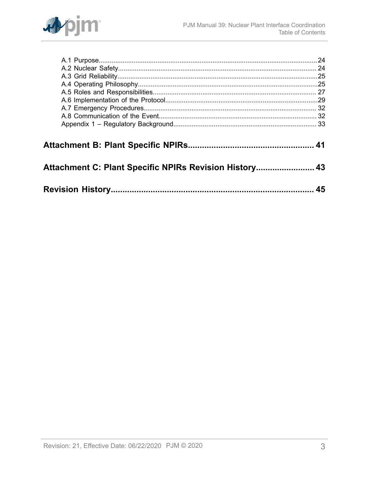

| Attachment C: Plant Specific NPIRs Revision History 43 |    |
|--------------------------------------------------------|----|
|                                                        |    |
|                                                        |    |
|                                                        | 45 |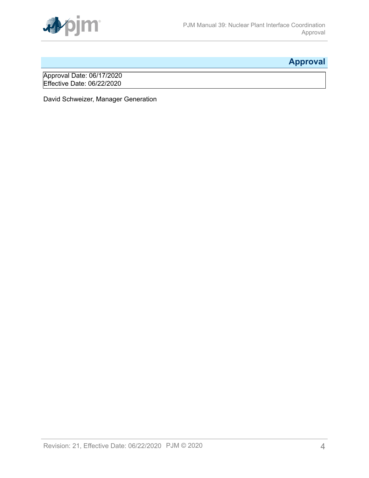

# <span id="page-3-0"></span>**Approval**

Approval Date: 06/17/2020 Effective Date: 06/22/2020

David Schweizer, Manager Generation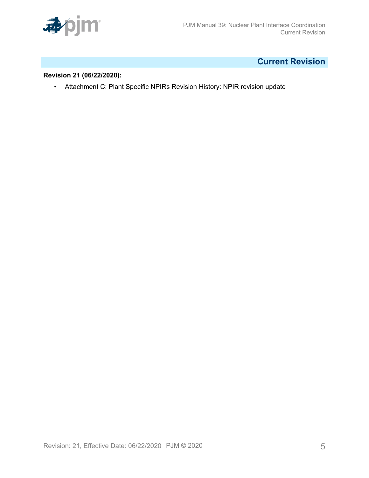

# <span id="page-4-0"></span>**Current Revision**

## **Revision 21 (06/22/2020):**

• Attachment C: Plant Specific NPIRs Revision History: NPIR revision update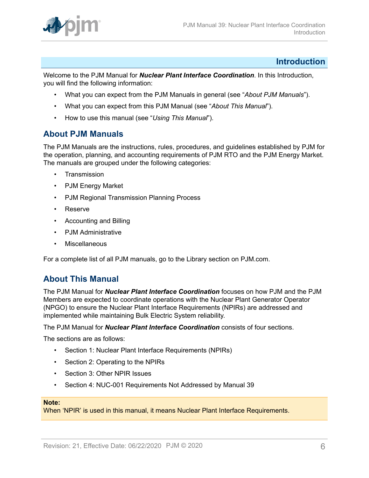

## <span id="page-5-0"></span>**Introduction**

Welcome to the PJM Manual for *Nuclear Plant Interface Coordination*. In this Introduction, you will find the following information:

- What you can expect from the PJM Manuals in general (see "*About PJM Manuals*").
- What you can expect from this PJM Manual (see "*About This Manual*").
- How to use this manual (see "*Using This Manual*").

## <span id="page-5-1"></span>**About PJM Manuals**

The PJM Manuals are the instructions, rules, procedures, and guidelines established by PJM for the operation, planning, and accounting requirements of PJM RTO and the PJM Energy Market. The manuals are grouped under the following categories:

- **Transmission**
- PJM Energy Market
- PJM Regional Transmission Planning Process
- Reserve
- Accounting and Billing
- PJM Administrative
- **Miscellaneous**

For a complete list of all PJM manuals, go to the Library section on PJM.com.

## <span id="page-5-2"></span>**About This Manual**

The PJM Manual for *Nuclear Plant Interface Coordination* focuses on how PJM and the PJM Members are expected to coordinate operations with the Nuclear Plant Generator Operator (NPGO) to ensure the Nuclear Plant Interface Requirements (NPIRs) are addressed and implemented while maintaining Bulk Electric System reliability.

The PJM Manual for *Nuclear Plant Interface Coordination* consists of four sections.

The sections are as follows:

- Section 1: Nuclear Plant Interface Requirements (NPIRs)
- Section 2: Operating to the NPIRs
- Section 3: Other NPIR Issues
- Section 4: NUC-001 Requirements Not Addressed by Manual 39

#### **Note:**

When 'NPIR' is used in this manual, it means Nuclear Plant Interface Requirements.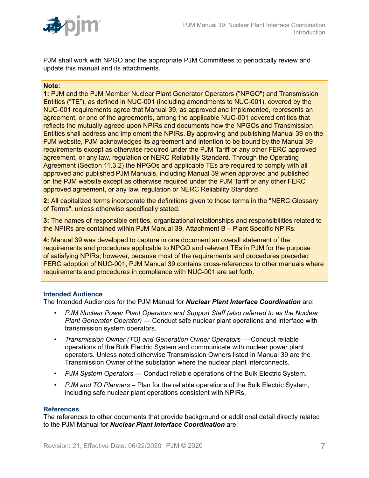

PJM shall work with NPGO and the appropriate PJM Committees to periodically review and update this manual and its attachments.

#### **Note:**

**1:** PJM and the PJM Member Nuclear Plant Generator Operators ("NPGO") and Transmission Entities ("TE"), as defined in NUC-001 (including amendments to NUC-001), covered by the NUC-001 requirements agree that Manual 39, as approved and implemented, represents an agreement, or one of the agreements, among the applicable NUC-001 covered entities that reflects the mutually agreed upon NPIRs and documents how the NPGOs and Transmission Entities shall address and implement the NPIRs. By approving and publishing Manual 39 on the PJM website, PJM acknowledges its agreement and intention to be bound by the Manual 39 requirements except as otherwise required under the PJM Tariff or any other FERC approved agreement, or any law, regulation or NERC Reliability Standard. Through the Operating Agreement (Section 11.3.2) the NPGOs and applicable TEs are required to comply with all approved and published PJM Manuals, including Manual 39 when approved and published on the PJM website except as otherwise required under the PJM Tariff or any other FERC approved agreement, or any law, regulation or NERC Reliability Standard.

**2:** All capitalized terms incorporate the definitions given to those terms in the "NERC Glossary of Terms", unless otherwise specifically stated.

**3:** The names of responsible entities, organizational relationships and responsibilities related to the NPIRs are contained within PJM Manual 39, Attachment B – Plant Specific NPIRs.

**4:** Manual 39 was developed to capture in one document an overall statement of the requirements and procedures applicable to NPGO and relevant TEs in PJM for the purpose of satisfying NPIRs; however, because most of the requirements and procedures preceded FERC adoption of NUC-001, PJM Manual 39 contains cross-references to other manuals where requirements and procedures in compliance with NUC-001 are set forth.

#### **Intended Audience**

The Intended Audiences for the PJM Manual for *Nuclear Plant Interface Coordination* are:

- *PJM Nuclear Power Plant Operators and Support Staff (also referred to as the Nuclear Plant Generator Operator)* — Conduct safe nuclear plant operations and interface with transmission system operators.
- *Transmission Owner (TO) and Generation Owner Operators* Conduct reliable operations of the Bulk Electric System and communicate with nuclear power plant operators. Unless noted otherwise Transmission Owners listed in Manual 39 are the Transmission Owner of the substation where the nuclear plant interconnects.
- *PJM System Operators* Conduct reliable operations of the Bulk Electric System.
- *PJM and TO Planners* Plan for the reliable operations of the Bulk Electric System, including safe nuclear plant operations consistent with NPIRs.

#### **References**

The references to other documents that provide background or additional detail directly related to the PJM Manual for *Nuclear Plant Interface Coordination* are: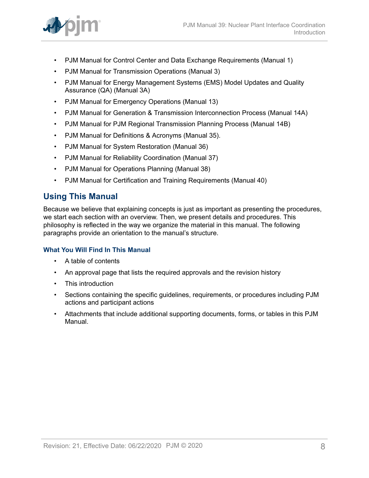

- PJM Manual for Control Center and Data Exchange Requirements (Manual 1)
- PJM Manual for Transmission Operations (Manual 3)
- PJM Manual for Energy Management Systems (EMS) Model Updates and Quality Assurance (QA) (Manual 3A)
- PJM Manual for Emergency Operations (Manual 13)
- PJM Manual for Generation & Transmission Interconnection Process (Manual 14A)
- PJM Manual for PJM Regional Transmission Planning Process (Manual 14B)
- PJM Manual for Definitions & Acronyms (Manual 35).
- PJM Manual for System Restoration (Manual 36)
- PJM Manual for Reliability Coordination (Manual 37)
- PJM Manual for Operations Planning (Manual 38)
- PJM Manual for Certification and Training Requirements (Manual 40)

## <span id="page-7-0"></span>**Using This Manual**

Because we believe that explaining concepts is just as important as presenting the procedures, we start each section with an overview. Then, we present details and procedures. This philosophy is reflected in the way we organize the material in this manual. The following paragraphs provide an orientation to the manual's structure.

## **What You Will Find In This Manual**

- A table of contents
- An approval page that lists the required approvals and the revision history
- This introduction
- Sections containing the specific guidelines, requirements, or procedures including PJM actions and participant actions
- Attachments that include additional supporting documents, forms, or tables in this PJM Manual.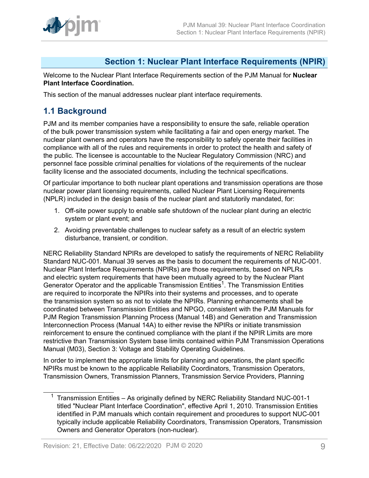

## <span id="page-8-0"></span>**Section 1: Nuclear Plant Interface Requirements (NPIR)**

Welcome to the Nuclear Plant Interface Requirements section of the PJM Manual for **Nuclear Plant Interface Coordination.**

This section of the manual addresses nuclear plant interface requirements.

## <span id="page-8-1"></span>**1.1 Background**

PJM and its member companies have a responsibility to ensure the safe, reliable operation of the bulk power transmission system while facilitating a fair and open energy market. The nuclear plant owners and operators have the responsibility to safely operate their facilities in compliance with all of the rules and requirements in order to protect the health and safety of the public. The licensee is accountable to the Nuclear Regulatory Commission (NRC) and personnel face possible criminal penalties for violations of the requirements of the nuclear facility license and the associated documents, including the technical specifications.

Of particular importance to both nuclear plant operations and transmission operations are those nuclear power plant licensing requirements, called Nuclear Plant Licensing Requirements (NPLR) included in the design basis of the nuclear plant and statutorily mandated, for:

- 1. Off-site power supply to enable safe shutdown of the nuclear plant during an electric system or plant event; and
- 2. Avoiding preventable challenges to nuclear safety as a result of an electric system disturbance, transient, or condition.

NERC Reliability Standard NPIRs are developed to satisfy the requirements of NERC Reliability Standard NUC-001. Manual 39 serves as the basis to document the requirements of NUC-001. Nuclear Plant Interface Requirements (NPIRs) are those requirements, based on NPLRs and electric system requirements that have been mutually agreed to by the Nuclear Plant Generator Operator and the applicable Transmission Entities<sup>1</sup>. The Transmission Entities are required to incorporate the NPIRs into their systems and processes, and to operate the transmission system so as not to violate the NPIRs. Planning enhancements shall be coordinated between Transmission Entities and NPGO, consistent with the PJM Manuals for PJM Region Transmission Planning Process (Manual 14B) and Generation and Transmission Interconnection Process (Manual 14A) to either revise the NPIRs or initiate transmission reinforcement to ensure the continued compliance with the plant if the NPIR Limits are more restrictive than Transmission System base limits contained within PJM Transmission Operations Manual (M03), Section 3: Voltage and Stability Operating Guidelines.

In order to implement the appropriate limits for planning and operations, the plant specific NPIRs must be known to the applicable Reliability Coordinators, Transmission Operators, Transmission Owners, Transmission Planners, Transmission Service Providers, Planning

<sup>&</sup>lt;sup>1</sup> Transmission Entities – As originally defined by NERC Reliability Standard NUC-001-1 titled "Nuclear Plant Interface Coordination", effective April 1, 2010. Transmission Entities identified in PJM manuals which contain requirement and procedures to support NUC-001 typically include applicable Reliability Coordinators, Transmission Operators, Transmission Owners and Generator Operators (non-nuclear).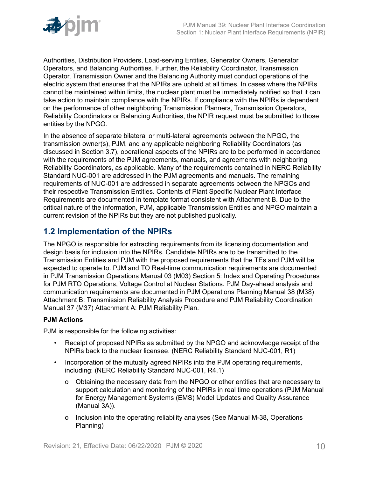

Authorities, Distribution Providers, Load-serving Entities, Generator Owners, Generator Operators, and Balancing Authorities. Further, the Reliability Coordinator, Transmission Operator, Transmission Owner and the Balancing Authority must conduct operations of the electric system that ensures that the NPIRs are upheld at all times. In cases where the NPIRs cannot be maintained within limits, the nuclear plant must be immediately notified so that it can take action to maintain compliance with the NPIRs. If compliance with the NPIRs is dependent on the performance of other neighboring Transmission Planners, Transmission Operators, Reliability Coordinators or Balancing Authorities, the NPIR request must be submitted to those entities by the NPGO.

In the absence of separate bilateral or multi-lateral agreements between the NPGO, the transmission owner(s), PJM, and any applicable neighboring Reliability Coordinators (as discussed in Section 3.7), operational aspects of the NPIRs are to be performed in accordance with the requirements of the PJM agreements, manuals, and agreements with neighboring Reliability Coordinators, as applicable. Many of the requirements contained in NERC Reliability Standard NUC-001 are addressed in the PJM agreements and manuals. The remaining requirements of NUC-001 are addressed in separate agreements between the NPGOs and their respective Transmission Entities. Contents of Plant Specific Nuclear Plant Interface Requirements are documented in template format consistent with Attachment B. Due to the critical nature of the information, PJM, applicable Transmission Entities and NPGO maintain a current revision of the NPIRs but they are not published publically.

## <span id="page-9-0"></span>**1.2 Implementation of the NPIRs**

The NPGO is responsible for extracting requirements from its licensing documentation and design basis for inclusion into the NPIRs. Candidate NPIRs are to be transmitted to the Transmission Entities and PJM with the proposed requirements that the TEs and PJM will be expected to operate to. PJM and TO Real-time communication requirements are documented in PJM Transmission Operations Manual 03 (M03) Section 5: Index and Operating Procedures for PJM RTO Operations, Voltage Control at Nuclear Stations. PJM Day-ahead analysis and communication requirements are documented in PJM Operations Planning Manual 38 (M38) Attachment B: Transmission Reliability Analysis Procedure and PJM Reliability Coordination Manual 37 (M37) Attachment A: PJM Reliability Plan.

## **PJM Actions**

PJM is responsible for the following activities:

- Receipt of proposed NPIRs as submitted by the NPGO and acknowledge receipt of the NPIRs back to the nuclear licensee. (NERC Reliability Standard NUC-001, R1)
- Incorporation of the mutually agreed NPIRs into the PJM operating requirements, including: (NERC Reliability Standard NUC-001, R4.1)
	- o Obtaining the necessary data from the NPGO or other entities that are necessary to support calculation and monitoring of the NPIRs in real time operations (PJM Manual for Energy Management Systems (EMS) Model Updates and Quality Assurance (Manual 3A)).
	- o Inclusion into the operating reliability analyses (See Manual M-38, Operations Planning)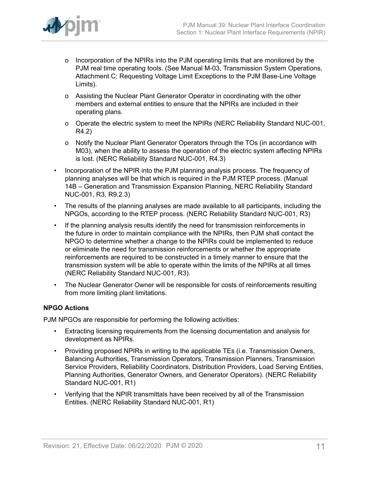

- o Incorporation of the NPIRs into the PJM operating limits that are monitored by the PJM real time operating tools. (See Manual M-03, Transmission System Operations, Attachment C: Requesting Voltage Limit Exceptions to the PJM Base-Line Voltage Limits).
- o Assisting the Nuclear Plant Generator Operator in coordinating with the other members and external entities to ensure that the NPIRs are included in their operating plans.
- o Operate the electric system to meet the NPIRs (NERC Reliability Standard NUC-001, R4.2)
- o Notify the Nuclear Plant Generator Operators through the TOs (in accordance with M03), when the ability to assess the operation of the electric system affecting NPIRs is lost. (NERC Reliability Standard NUC-001, R4.3)
- Incorporation of the NPIR into the PJM planning analysis process. The frequency of planning analyses will be that which is required in the PJM RTEP process. (Manual 14B – Generation and Transmission Expansion Planning, NERC Reliability Standard NUC-001, R3, R9.2.3)
- The results of the planning analyses are made available to all participants, including the NPGOs, according to the RTEP process. (NERC Reliability Standard NUC-001, R3)
- If the planning analysis results identify the need for transmission reinforcements in the future in order to maintain compliance with the NPIRs, then PJM shall contact the NPGO to determine whether a change to the NPIRs could be implemented to reduce or eliminate the need for transmission reinforcements or whether the appropriate reinforcements are required to be constructed in a timely manner to ensure that the transmission system will be able to operate within the limits of the NPIRs at all times (NERC Reliability Standard NUC-001, R3).
- The Nuclear Generator Owner will be responsible for costs of reinforcements resulting from more limiting plant limitations.

## **NPGO Actions**

PJM NPGOs are responsible for performing the following activities:

- Extracting licensing requirements from the licensing documentation and analysis for development as NPIRs.
- Providing proposed NPIRs in writing to the applicable TEs (i.e. Transmission Owners, Balancing Authorities, Transmission Operators, Transmission Planners, Transmission Service Providers, Reliability Coordinators, Distribution Providers, Load Serving Entities, Planning Authorities, Generator Owners, and Generator Operators). (NERC Reliability Standard NUC-001, R1)
- Verifying that the NPIR transmittals have been received by all of the Transmission Entities. (NERC Reliability Standard NUC-001, R1)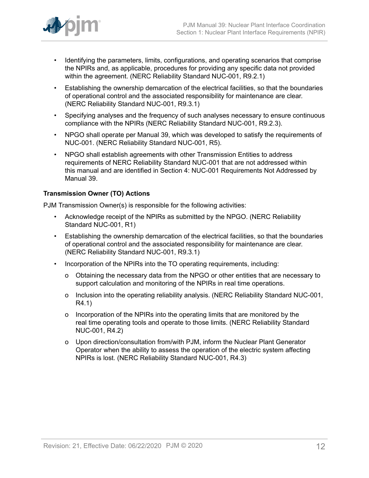

- Identifying the parameters, limits, configurations, and operating scenarios that comprise the NPIRs and, as applicable, procedures for providing any specific data not provided within the agreement. (NERC Reliability Standard NUC-001, R9.2.1)
- Establishing the ownership demarcation of the electrical facilities, so that the boundaries of operational control and the associated responsibility for maintenance are clear. (NERC Reliability Standard NUC-001, R9.3.1)
- Specifying analyses and the frequency of such analyses necessary to ensure continuous compliance with the NPIRs (NERC Reliability Standard NUC-001, R9.2.3).
- NPGO shall operate per Manual 39, which was developed to satisfy the requirements of NUC-001. (NERC Reliability Standard NUC-001, R5).
- NPGO shall establish agreements with other Transmission Entities to address requirements of NERC Reliability Standard NUC-001 that are not addressed within this manual and are identified in Section 4: NUC-001 Requirements Not Addressed by Manual 39.

## **Transmission Owner (TO) Actions**

PJM Transmission Owner(s) is responsible for the following activities:

- Acknowledge receipt of the NPIRs as submitted by the NPGO. (NERC Reliability Standard NUC-001, R1)
- Establishing the ownership demarcation of the electrical facilities, so that the boundaries of operational control and the associated responsibility for maintenance are clear. (NERC Reliability Standard NUC-001, R9.3.1)
- Incorporation of the NPIRs into the TO operating requirements, including:
	- o Obtaining the necessary data from the NPGO or other entities that are necessary to support calculation and monitoring of the NPIRs in real time operations.
	- o Inclusion into the operating reliability analysis. (NERC Reliability Standard NUC-001, R4.1)
	- o Incorporation of the NPIRs into the operating limits that are monitored by the real time operating tools and operate to those limits. (NERC Reliability Standard NUC-001, R4.2)
	- o Upon direction/consultation from/with PJM, inform the Nuclear Plant Generator Operator when the ability to assess the operation of the electric system affecting NPIRs is lost. (NERC Reliability Standard NUC-001, R4.3)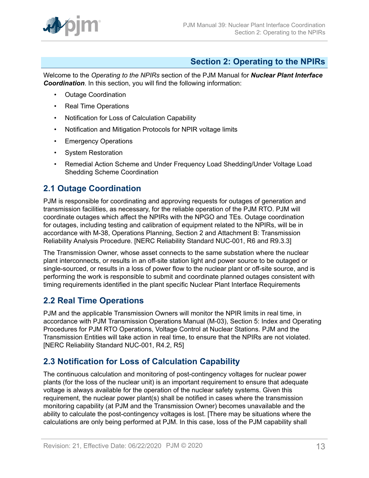

## <span id="page-12-0"></span>**Section 2: Operating to the NPIRs**

Welcome to the *Operating to the NPIRs* section of the PJM Manual for *Nuclear Plant Interface Coordination*. In this section, you will find the following information:

- Outage Coordination
- Real Time Operations
- Notification for Loss of Calculation Capability
- Notification and Mitigation Protocols for NPIR voltage limits
- Emergency Operations
- System Restoration
- Remedial Action Scheme and Under Frequency Load Shedding/Under Voltage Load Shedding Scheme Coordination

## <span id="page-12-1"></span>**2.1 Outage Coordination**

PJM is responsible for coordinating and approving requests for outages of generation and transmission facilities, as necessary, for the reliable operation of the PJM RTO. PJM will coordinate outages which affect the NPIRs with the NPGO and TEs. Outage coordination for outages, including testing and calibration of equipment related to the NPIRs, will be in accordance with M-38, Operations Planning, Section 2 and Attachment B: Transmission Reliability Analysis Procedure. [NERC Reliability Standard NUC-001, R6 and R9.3.3]

The Transmission Owner, whose asset connects to the same substation where the nuclear plant interconnects, or results in an off-site station light and power source to be outaged or single-sourced, or results in a loss of power flow to the nuclear plant or off-site source, and is performing the work is responsible to submit and coordinate planned outages consistent with timing requirements identified in the plant specific Nuclear Plant Interface Requirements

## <span id="page-12-2"></span>**2.2 Real Time Operations**

PJM and the applicable Transmission Owners will monitor the NPIR limits in real time, in accordance with PJM Transmission Operations Manual (M-03), Section 5: Index and Operating Procedures for PJM RTO Operations, Voltage Control at Nuclear Stations. PJM and the Transmission Entities will take action in real time, to ensure that the NPIRs are not violated. [NERC Reliability Standard NUC-001, R4.2, R5]

## <span id="page-12-3"></span>**2.3 Notification for Loss of Calculation Capability**

The continuous calculation and monitoring of post-contingency voltages for nuclear power plants (for the loss of the nuclear unit) is an important requirement to ensure that adequate voltage is always available for the operation of the nuclear safety systems. Given this requirement, the nuclear power plant(s) shall be notified in cases where the transmission monitoring capability (at PJM and the Transmission Owner) becomes unavailable and the ability to calculate the post-contingency voltages is lost. [There may be situations where the calculations are only being performed at PJM. In this case, loss of the PJM capability shall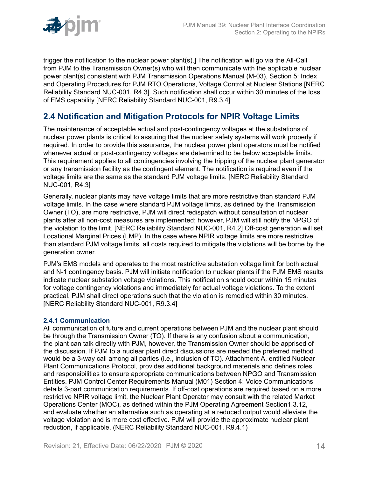

trigger the notification to the nuclear power plant(s).] The notification will go via the All-Call from PJM to the Transmission Owner(s) who will then communicate with the applicable nuclear power plant(s) consistent with PJM Transmission Operations Manual (M-03), Section 5: Index and Operating Procedures for PJM RTO Operations, Voltage Control at Nuclear Stations [NERC Reliability Standard NUC-001, R4.3]. Such notification shall occur within 30 minutes of the loss of EMS capability [NERC Reliability Standard NUC-001, R9.3.4]

## <span id="page-13-0"></span>**2.4 Notification and Mitigation Protocols for NPIR Voltage Limits**

The maintenance of acceptable actual and post-contingency voltages at the substations of nuclear power plants is critical to assuring that the nuclear safety systems will work properly if required. In order to provide this assurance, the nuclear power plant operators must be notified whenever actual or post-contingency voltages are determined to be below acceptable limits. This requirement applies to all contingencies involving the tripping of the nuclear plant generator or any transmission facility as the contingent element. The notification is required even if the voltage limits are the same as the standard PJM voltage limits. [NERC Reliability Standard NUC-001, R4.3]

Generally, nuclear plants may have voltage limits that are more restrictive than standard PJM voltage limits. In the case where standard PJM voltage limits, as defined by the Transmission Owner (TO), are more restrictive, PJM will direct redispatch without consultation of nuclear plants after all non-cost measures are implemented; however, PJM will still notify the NPGO of the violation to the limit. [NERC Reliability Standard NUC-001, R4.2] Off-cost generation will set Locational Marginal Prices (LMP). In the case where NPIR voltage limits are more restrictive than standard PJM voltage limits, all costs required to mitigate the violations will be borne by the generation owner.

PJM's EMS models and operates to the most restrictive substation voltage limit for both actual and N-1 contingency basis. PJM will initiate notification to nuclear plants if the PJM EMS results indicate nuclear substation voltage violations. This notification should occur within 15 minutes for voltage contingency violations and immediately for actual voltage violations. To the extent practical, PJM shall direct operations such that the violation is remedied within 30 minutes. [NERC Reliability Standard NUC-001, R9.3.4]

## <span id="page-13-1"></span>**2.4.1 Communication**

All communication of future and current operations between PJM and the nuclear plant should be through the Transmission Owner (TO). If there is any confusion about a communication, the plant can talk directly with PJM, however, the Transmission Owner should be apprised of the discussion. If PJM to a nuclear plant direct discussions are needed the preferred method would be a 3-way call among all parties (i.e., inclusion of TO). Attachment A, entitled Nuclear Plant Communications Protocol, provides additional background materials and defines roles and responsibilities to ensure appropriate communications between NPGO and Transmission Entities. PJM Control Center Requirements Manual (M01) Section 4: Voice Communications details 3-part communication requirements. If off-cost operations are required based on a more restrictive NPIR voltage limit, the Nuclear Plant Operator may consult with the related Market Operations Center (MOC), as defined within the PJM Operating Agreement Section1.3.12, and evaluate whether an alternative such as operating at a reduced output would alleviate the voltage violation and is more cost effective. PJM will provide the approximate nuclear plant reduction, if applicable. (NERC Reliability Standard NUC-001, R9.4.1)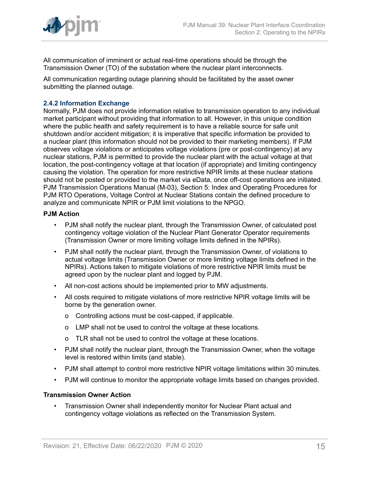

All communication of imminent or actual real-time operations should be through the Transmission Owner (TO) of the substation where the nuclear plant interconnects.

All communication regarding outage planning should be facilitated by the asset owner submitting the planned outage.

## <span id="page-14-0"></span>**2.4.2 Information Exchange**

Normally, PJM does not provide information relative to transmission operation to any individual market participant without providing that information to all. However, in this unique condition where the public health and safety requirement is to have a reliable source for safe unit shutdown and/or accident mitigation; it is imperative that specific information be provided to a nuclear plant (this information should not be provided to their marketing members). If PJM observes voltage violations or anticipates voltage violations (pre or post-contingency) at any nuclear stations, PJM is permitted to provide the nuclear plant with the actual voltage at that location, the post-contingency voltage at that location (if appropriate) and limiting contingency causing the violation. The operation for more restrictive NPIR limits at these nuclear stations should not be posted or provided to the market via eData, once off-cost operations are initiated. PJM Transmission Operations Manual (M-03), Section 5: Index and Operating Procedures for PJM RTO Operations, Voltage Control at Nuclear Stations contain the defined procedure to analyze and communicate NPIR or PJM limit violations to the NPGO.

## **PJM Action**

- PJM shall notify the nuclear plant, through the Transmission Owner, of calculated post contingency voltage violation of the Nuclear Plant Generator Operator requirements (Transmission Owner or more limiting voltage limits defined in the NPIRs).
- PJM shall notify the nuclear plant, through the Transmission Owner, of violations to actual voltage limits (Transmission Owner or more limiting voltage limits defined in the NPIRs). Actions taken to mitigate violations of more restrictive NPIR limits must be agreed upon by the nuclear plant and logged by PJM.
- All non-cost actions should be implemented prior to MW adjustments.
- All costs required to mitigate violations of more restrictive NPIR voltage limits will be borne by the generation owner.
	- o Controlling actions must be cost-capped, if applicable.
	- o LMP shall not be used to control the voltage at these locations.
	- o TLR shall not be used to control the voltage at these locations.
- PJM shall notify the nuclear plant, through the Transmission Owner, when the voltage level is restored within limits (and stable).
- PJM shall attempt to control more restrictive NPIR voltage limitations within 30 minutes.
- PJM will continue to monitor the appropriate voltage limits based on changes provided.

## **Transmission Owner Action**

• Transmission Owner shall independently monitor for Nuclear Plant actual and contingency voltage violations as reflected on the Transmission System.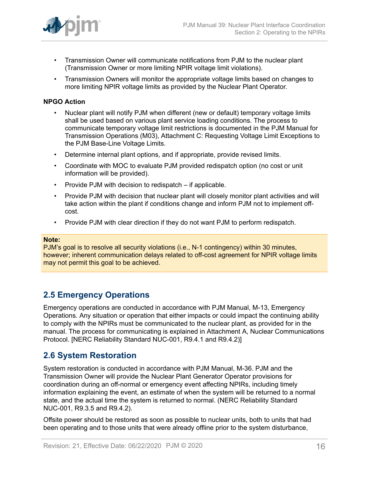

- Transmission Owner will communicate notifications from PJM to the nuclear plant (Transmission Owner or more limiting NPIR voltage limit violations).
- Transmission Owners will monitor the appropriate voltage limits based on changes to more limiting NPIR voltage limits as provided by the Nuclear Plant Operator.

#### **NPGO Action**

- Nuclear plant will notify PJM when different (new or default) temporary voltage limits shall be used based on various plant service loading conditions. The process to communicate temporary voltage limit restrictions is documented in the PJM Manual for Transmission Operations (M03), Attachment C: Requesting Voltage Limit Exceptions to the PJM Base-Line Voltage Limits.
- Determine internal plant options, and if appropriate, provide revised limits.
- Coordinate with MOC to evaluate PJM provided redispatch option (no cost or unit information will be provided).
- Provide PJM with decision to redispatch if applicable.
- Provide PJM with decision that nuclear plant will closely monitor plant activities and will take action within the plant if conditions change and inform PJM not to implement offcost.
- Provide PJM with clear direction if they do not want PJM to perform redispatch.

#### **Note:**

PJM's goal is to resolve all security violations (i.e., N-1 contingency) within 30 minutes, however; inherent communication delays related to off-cost agreement for NPIR voltage limits may not permit this goal to be achieved.

## <span id="page-15-0"></span>**2.5 Emergency Operations**

Emergency operations are conducted in accordance with PJM Manual, M-13, Emergency Operations. Any situation or operation that either impacts or could impact the continuing ability to comply with the NPIRs must be communicated to the nuclear plant, as provided for in the manual. The process for communicating is explained in Attachment A, Nuclear Communications Protocol. [NERC Reliability Standard NUC-001, R9.4.1 and R9.4.2)]

## <span id="page-15-1"></span>**2.6 System Restoration**

System restoration is conducted in accordance with PJM Manual, M-36. PJM and the Transmission Owner will provide the Nuclear Plant Generator Operator provisions for coordination during an off-normal or emergency event affecting NPIRs, including timely information explaining the event, an estimate of when the system will be returned to a normal state, and the actual time the system is returned to normal. (NERC Reliability Standard NUC-001, R9.3.5 and R9.4.2).

Offsite power should be restored as soon as possible to nuclear units, both to units that had been operating and to those units that were already offline prior to the system disturbance,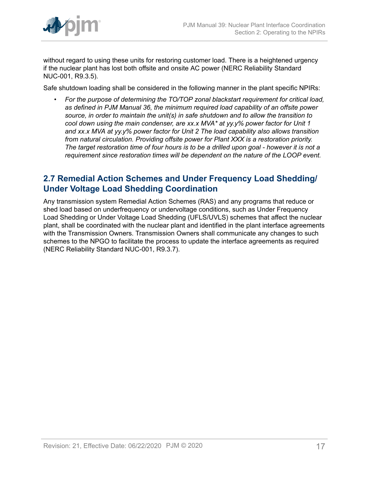

without regard to using these units for restoring customer load. There is a heightened urgency if the nuclear plant has lost both offsite and onsite AC power (NERC Reliability Standard NUC-001, R9.3.5).

Safe shutdown loading shall be considered in the following manner in the plant specific NPIRs:

• *For the purpose of determining the TO/TOP zonal blackstart requirement for critical load, as defined in PJM Manual 36, the minimum required load capability of an offsite power source, in order to maintain the unit(s) in safe shutdown and to allow the transition to cool down using the main condenser, are xx.x MVA\* at yy.y% power factor for Unit 1 and xx.x MVA at yy.y% power factor for Unit 2 The load capability also allows transition from natural circulation. Providing offsite power for Plant XXX is a restoration priority. The target restoration time of four hours is to be a drilled upon goal - however it is not a requirement since restoration times will be dependent on the nature of the LOOP event.*

## <span id="page-16-0"></span>**2.7 Remedial Action Schemes and Under Frequency Load Shedding/ Under Voltage Load Shedding Coordination**

Any transmission system Remedial Action Schemes (RAS) and any programs that reduce or shed load based on underfrequency or undervoltage conditions, such as Under Frequency Load Shedding or Under Voltage Load Shedding (UFLS/UVLS) schemes that affect the nuclear plant, shall be coordinated with the nuclear plant and identified in the plant interface agreements with the Transmission Owners. Transmission Owners shall communicate any changes to such schemes to the NPGO to facilitate the process to update the interface agreements as required (NERC Reliability Standard NUC-001, R9.3.7).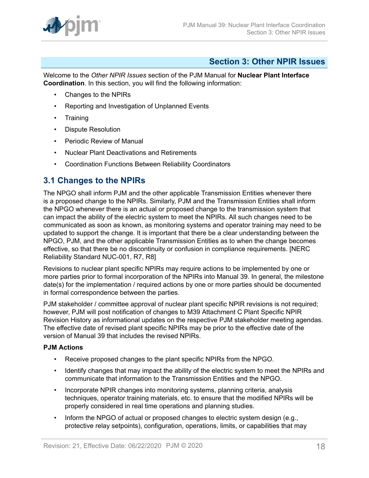

## <span id="page-17-0"></span>**Section 3: Other NPIR Issues**

Welcome to the *Other NPIR Issues* section of the PJM Manual for **Nuclear Plant Interface Coordination**. In this section, you will find the following information:

- Changes to the NPIRs
- Reporting and Investigation of Unplanned Events
- Training
- Dispute Resolution
- Periodic Review of Manual
- Nuclear Plant Deactivations and Retirements
- Coordination Functions Between Reliability Coordinators

## <span id="page-17-1"></span>**3.1 Changes to the NPIRs**

The NPGO shall inform PJM and the other applicable Transmission Entities whenever there is a proposed change to the NPIRs. Similarly, PJM and the Transmission Entities shall inform the NPGO whenever there is an actual or proposed change to the transmission system that can impact the ability of the electric system to meet the NPIRs. All such changes need to be communicated as soon as known, as monitoring systems and operator training may need to be updated to support the change. It is important that there be a clear understanding between the NPGO, PJM, and the other applicable Transmission Entities as to when the change becomes effective, so that there be no discontinuity or confusion in compliance requirements. [NERC Reliability Standard NUC-001, R7, R8]

Revisions to nuclear plant specific NPIRs may require actions to be implemented by one or more parties prior to formal incorporation of the NPIRs into Manual 39. In general, the milestone date(s) for the implementation / required actions by one or more parties should be documented in formal correspondence between the parties.

PJM stakeholder / committee approval of nuclear plant specific NPIR revisions is not required: however, PJM will post notification of changes to M39 Attachment C Plant Specific NPIR Revision History as informational updates on the respective PJM stakeholder meeting agendas. The effective date of revised plant specific NPIRs may be prior to the effective date of the version of Manual 39 that includes the revised NPIRs.

## **PJM Actions**

- Receive proposed changes to the plant specific NPIRs from the NPGO.
- Identify changes that may impact the ability of the electric system to meet the NPIRs and communicate that information to the Transmission Entities and the NPGO.
- Incorporate NPIR changes into monitoring systems, planning criteria, analysis techniques, operator training materials, etc. to ensure that the modified NPIRs will be properly considered in real time operations and planning studies.
- Inform the NPGO of actual or proposed changes to electric system design (e.g., protective relay setpoints), configuration, operations, limits, or capabilities that may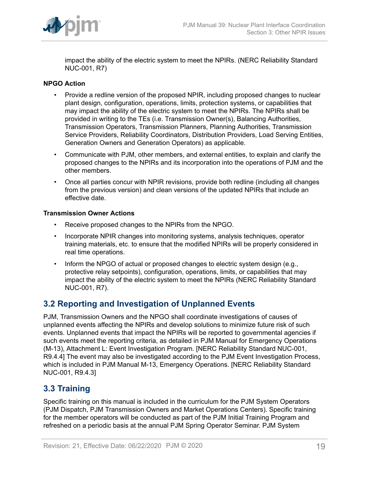

impact the ability of the electric system to meet the NPIRs. (NERC Reliability Standard NUC-001, R7)

## **NPGO Action**

- Provide a redline version of the proposed NPIR, including proposed changes to nuclear plant design, configuration, operations, limits, protection systems, or capabilities that may impact the ability of the electric system to meet the NPIRs. The NPIRs shall be provided in writing to the TEs (i.e. Transmission Owner(s), Balancing Authorities, Transmission Operators, Transmission Planners, Planning Authorities, Transmission Service Providers, Reliability Coordinators, Distribution Providers, Load Serving Entities, Generation Owners and Generation Operators) as applicable.
- Communicate with PJM, other members, and external entities, to explain and clarify the proposed changes to the NPIRs and its incorporation into the operations of PJM and the other members.
- Once all parties concur with NPIR revisions, provide both redline (including all changes from the previous version) and clean versions of the updated NPIRs that include an effective date.

## **Transmission Owner Actions**

- Receive proposed changes to the NPIRs from the NPGO.
- Incorporate NPIR changes into monitoring systems, analysis techniques, operator training materials, etc. to ensure that the modified NPIRs will be properly considered in real time operations.
- Inform the NPGO of actual or proposed changes to electric system design (e.g., protective relay setpoints), configuration, operations, limits, or capabilities that may impact the ability of the electric system to meet the NPIRs (NERC Reliability Standard NUC-001, R7).

## <span id="page-18-0"></span>**3.2 Reporting and Investigation of Unplanned Events**

PJM, Transmission Owners and the NPGO shall coordinate investigations of causes of unplanned events affecting the NPIRs and develop solutions to minimize future risk of such events. Unplanned events that impact the NPIRs will be reported to governmental agencies if such events meet the reporting criteria, as detailed in PJM Manual for Emergency Operations (M-13), Attachment L: Event Investigation Program. [NERC Reliability Standard NUC-001, R9.4.4] The event may also be investigated according to the PJM Event Investigation Process, which is included in PJM Manual M-13, Emergency Operations. [NERC Reliability Standard NUC-001, R9.4.3]

## <span id="page-18-1"></span>**3.3 Training**

Specific training on this manual is included in the curriculum for the PJM System Operators (PJM Dispatch, PJM Transmission Owners and Market Operations Centers). Specific training for the member operators will be conducted as part of the PJM Initial Training Program and refreshed on a periodic basis at the annual PJM Spring Operator Seminar. PJM System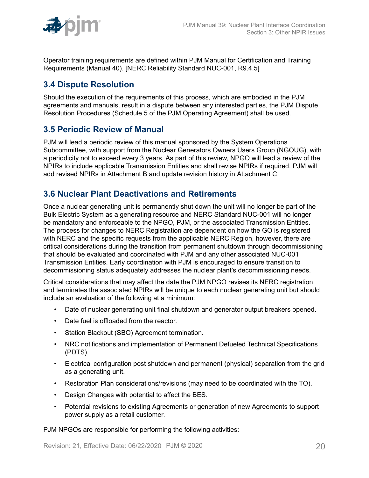

Operator training requirements are defined within PJM Manual for Certification and Training Requirements (Manual 40). [NERC Reliability Standard NUC-001, R9.4.5]

## <span id="page-19-0"></span>**3.4 Dispute Resolution**

Should the execution of the requirements of this process, which are embodied in the PJM agreements and manuals, result in a dispute between any interested parties, the PJM Dispute Resolution Procedures (Schedule 5 of the PJM Operating Agreement) shall be used.

## <span id="page-19-1"></span>**3.5 Periodic Review of Manual**

PJM will lead a periodic review of this manual sponsored by the System Operations Subcommittee, with support from the Nuclear Generators Owners Users Group (NGOUG), with a periodicity not to exceed every 3 years. As part of this review, NPGO will lead a review of the NPIRs to include applicable Transmission Entities and shall revise NPIRs if required. PJM will add revised NPIRs in Attachment B and update revision history in Attachment C.

## <span id="page-19-2"></span>**3.6 Nuclear Plant Deactivations and Retirements**

Once a nuclear generating unit is permanently shut down the unit will no longer be part of the Bulk Electric System as a generating resource and NERC Standard NUC-001 will no longer be mandatory and enforceable to the NPGO, PJM, or the associated Transmission Entities. The process for changes to NERC Registration are dependent on how the GO is registered with NERC and the specific requests from the applicable NERC Region, however, there are critical considerations during the transition from permanent shutdown through decommissioning that should be evaluated and coordinated with PJM and any other associated NUC-001 Transmission Entities. Early coordination with PJM is encouraged to ensure transition to decommissioning status adequately addresses the nuclear plant's decommissioning needs.

Critical considerations that may affect the date the PJM NPGO revises its NERC registration and terminates the associated NPIRs will be unique to each nuclear generating unit but should include an evaluation of the following at a minimum:

- Date of nuclear generating unit final shutdown and generator output breakers opened.
- Date fuel is offloaded from the reactor.
- Station Blackout (SBO) Agreement termination.
- NRC notifications and implementation of Permanent Defueled Technical Specifications (PDTS).
- Electrical configuration post shutdown and permanent (physical) separation from the grid as a generating unit.
- Restoration Plan considerations/revisions (may need to be coordinated with the TO).
- Design Changes with potential to affect the BES.
- Potential revisions to existing Agreements or generation of new Agreements to support power supply as a retail customer.

PJM NPGOs are responsible for performing the following activities: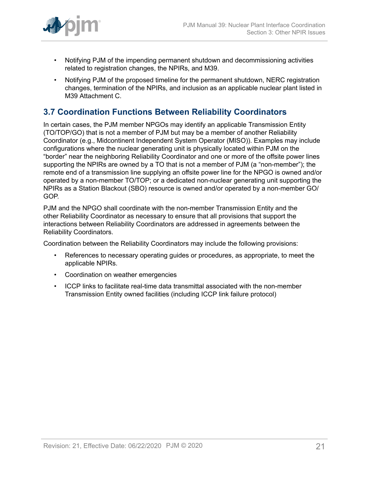

- Notifying PJM of the impending permanent shutdown and decommissioning activities related to registration changes, the NPIRs, and M39.
- Notifying PJM of the proposed timeline for the permanent shutdown, NERC registration changes, termination of the NPIRs, and inclusion as an applicable nuclear plant listed in M39 Attachment C.

## <span id="page-20-0"></span>**3.7 Coordination Functions Between Reliability Coordinators**

In certain cases, the PJM member NPGOs may identify an applicable Transmission Entity (TO/TOP/GO) that is not a member of PJM but may be a member of another Reliability Coordinator (e.g., Midcontinent Independent System Operator (MISO)). Examples may include configurations where the nuclear generating unit is physically located within PJM on the "border" near the neighboring Reliability Coordinator and one or more of the offsite power lines supporting the NPIRs are owned by a TO that is not a member of PJM (a "non-member"); the remote end of a transmission line supplying an offsite power line for the NPGO is owned and/or operated by a non-member TO/TOP; or a dedicated non-nuclear generating unit supporting the NPIRs as a Station Blackout (SBO) resource is owned and/or operated by a non-member GO/ GOP.

PJM and the NPGO shall coordinate with the non-member Transmission Entity and the other Reliability Coordinator as necessary to ensure that all provisions that support the interactions between Reliability Coordinators are addressed in agreements between the Reliability Coordinators.

Coordination between the Reliability Coordinators may include the following provisions:

- References to necessary operating guides or procedures, as appropriate, to meet the applicable NPIRs.
- Coordination on weather emergencies
- ICCP links to facilitate real-time data transmittal associated with the non-member Transmission Entity owned facilities (including ICCP link failure protocol)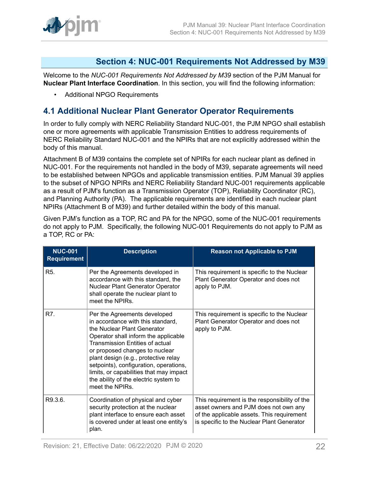

## <span id="page-21-0"></span>**Section 4: NUC-001 Requirements Not Addressed by M39**

Welcome to the *NUC-001 Requirements Not Addressed by M39* section of the PJM Manual for **Nuclear Plant Interface Coordination**. In this section, you will find the following information:

• Additional NPGO Requirements

## <span id="page-21-1"></span>**4.1 Additional Nuclear Plant Generator Operator Requirements**

In order to fully comply with NERC Reliability Standard NUC-001, the PJM NPGO shall establish one or more agreements with applicable Transmission Entities to address requirements of NERC Reliability Standard NUC-001 and the NPIRs that are not explicitly addressed within the body of this manual.

Attachment B of M39 contains the complete set of NPIRs for each nuclear plant as defined in NUC-001. For the requirements not handled in the body of M39, separate agreements will need to be established between NPGOs and applicable transmission entities. PJM Manual 39 applies to the subset of NPGO NPIRs and NERC Reliability Standard NUC-001 requirements applicable as a result of PJM's function as a Transmission Operator (TOP), Reliability Coordinator (RC), and Planning Authority (PA). The applicable requirements are identified in each nuclear plant NPIRs (Attachment B of M39) and further detailed within the body of this manual.

Given PJM's function as a TOP, RC and PA for the NPGO, some of the NUC-001 requirements do not apply to PJM. Specifically, the following NUC-001 Requirements do not apply to PJM as a TOP, RC or PA:

| <b>NUC-001</b><br><b>Requirement</b> | <b>Description</b>                                                                                                                                                                                                                                                                                                                                                                                            | <b>Reason not Applicable to PJM</b>                                                                                                                                                |
|--------------------------------------|---------------------------------------------------------------------------------------------------------------------------------------------------------------------------------------------------------------------------------------------------------------------------------------------------------------------------------------------------------------------------------------------------------------|------------------------------------------------------------------------------------------------------------------------------------------------------------------------------------|
| R <sub>5</sub> .                     | Per the Agreements developed in<br>accordance with this standard, the<br>Nuclear Plant Generator Operator<br>shall operate the nuclear plant to<br>meet the NPIRs.                                                                                                                                                                                                                                            | This requirement is specific to the Nuclear<br>Plant Generator Operator and does not<br>apply to PJM.                                                                              |
| R7.                                  | Per the Agreements developed<br>in accordance with this standard,<br>the Nuclear Plant Generator<br>Operator shall inform the applicable<br><b>Transmission Entities of actual</b><br>or proposed changes to nuclear<br>plant design (e.g., protective relay<br>setpoints), configuration, operations,<br>limits, or capabilities that may impact<br>the ability of the electric system to<br>meet the NPIRs. | This requirement is specific to the Nuclear<br>Plant Generator Operator and does not<br>apply to PJM.                                                                              |
| R9.3.6.                              | Coordination of physical and cyber<br>security protection at the nuclear<br>plant interface to ensure each asset<br>is covered under at least one entity's<br>plan.                                                                                                                                                                                                                                           | This requirement is the responsibility of the<br>asset owners and PJM does not own any<br>of the applicable assets. This requirement<br>is specific to the Nuclear Plant Generator |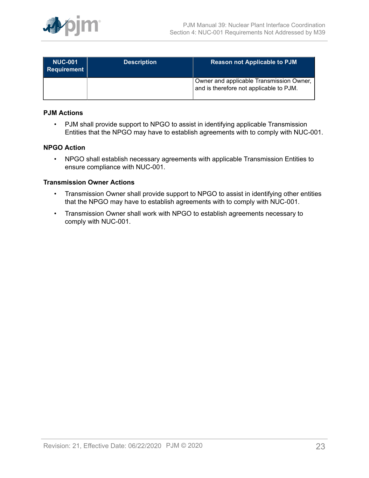

| <b>NUC-001</b><br>Requirement | <b>Description</b> | <b>Reason not Applicable to PJM</b>                                                 |
|-------------------------------|--------------------|-------------------------------------------------------------------------------------|
|                               |                    | Owner and applicable Transmission Owner,<br>and is therefore not applicable to PJM. |

### **PJM Actions**

• PJM shall provide support to NPGO to assist in identifying applicable Transmission Entities that the NPGO may have to establish agreements with to comply with NUC-001.

### **NPGO Action**

• NPGO shall establish necessary agreements with applicable Transmission Entities to ensure compliance with NUC-001.

#### **Transmission Owner Actions**

- Transmission Owner shall provide support to NPGO to assist in identifying other entities that the NPGO may have to establish agreements with to comply with NUC-001.
- Transmission Owner shall work with NPGO to establish agreements necessary to comply with NUC-001.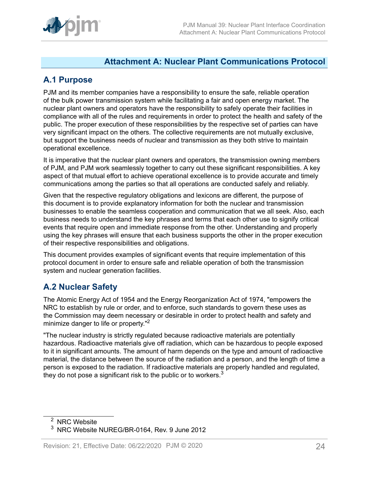

## <span id="page-23-0"></span>**Attachment A: Nuclear Plant Communications Protocol**

## <span id="page-23-1"></span>**A.1 Purpose**

PJM and its member companies have a responsibility to ensure the safe, reliable operation of the bulk power transmission system while facilitating a fair and open energy market. The nuclear plant owners and operators have the responsibility to safely operate their facilities in compliance with all of the rules and requirements in order to protect the health and safety of the public. The proper execution of these responsibilities by the respective set of parties can have very significant impact on the others. The collective requirements are not mutually exclusive, but support the business needs of nuclear and transmission as they both strive to maintain operational excellence.

It is imperative that the nuclear plant owners and operators, the transmission owning members of PJM, and PJM work seamlessly together to carry out these significant responsibilities. A key aspect of that mutual effort to achieve operational excellence is to provide accurate and timely communications among the parties so that all operations are conducted safely and reliably.

Given that the respective regulatory obligations and lexicons are different, the purpose of this document is to provide explanatory information for both the nuclear and transmission businesses to enable the seamless cooperation and communication that we all seek. Also, each business needs to understand the key phrases and terms that each other use to signify critical events that require open and immediate response from the other. Understanding and properly using the key phrases will ensure that each business supports the other in the proper execution of their respective responsibilities and obligations.

This document provides examples of significant events that require implementation of this protocol document in order to ensure safe and reliable operation of both the transmission system and nuclear generation facilities.

## <span id="page-23-2"></span>**A.2 Nuclear Safety**

The Atomic Energy Act of 1954 and the Energy Reorganization Act of 1974, "empowers the NRC to establish by rule or order, and to enforce, such standards to govern these uses as the Commission may deem necessary or desirable in order to protect health and safety and minimize danger to life or property."<sup>2</sup>

"The nuclear industry is strictly regulated because radioactive materials are potentially hazardous. Radioactive materials give off radiation, which can be hazardous to people exposed to it in significant amounts. The amount of harm depends on the type and amount of radioactive material, the distance between the source of the radiation and a person, and the length of time a person is exposed to the radiation. If radioactive materials are properly handled and regulated, they do not pose a significant risk to the public or to workers. $3$ 

<sup>&</sup>lt;sup>2</sup> NRC Website

<sup>3</sup> NRC Website NUREG/BR-0164, Rev. 9 June 2012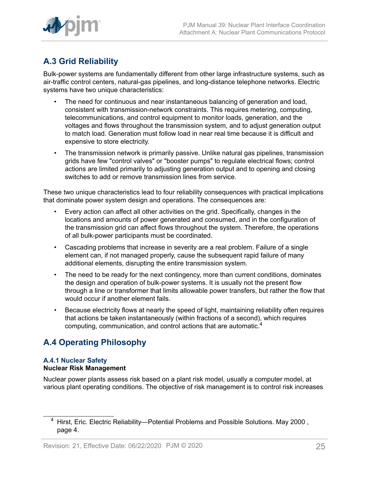

# <span id="page-24-0"></span>**A.3 Grid Reliability**

Bulk-power systems are fundamentally different from other large infrastructure systems, such as air-traffic control centers, natural-gas pipelines, and long-distance telephone networks. Electric systems have two unique characteristics:

- The need for continuous and near instantaneous balancing of generation and load, consistent with transmission-network constraints. This requires metering, computing, telecommunications, and control equipment to monitor loads, generation, and the voltages and flows throughout the transmission system, and to adjust generation output to match load. Generation must follow load in near real time because it is difficult and expensive to store electricity.
- The transmission network is primarily passive. Unlike natural gas pipelines, transmission grids have few "control valves" or "booster pumps" to regulate electrical flows; control actions are limited primarily to adjusting generation output and to opening and closing switches to add or remove transmission lines from service.

These two unique characteristics lead to four reliability consequences with practical implications that dominate power system design and operations. The consequences are:

- Every action can affect all other activities on the grid. Specifically, changes in the locations and amounts of power generated and consumed, and in the configuration of the transmission grid can affect flows throughout the system. Therefore, the operations of all bulk-power participants must be coordinated.
- Cascading problems that increase in severity are a real problem. Failure of a single element can, if not managed properly, cause the subsequent rapid failure of many additional elements, disrupting the entire transmission system.
- The need to be ready for the next contingency, more than current conditions, dominates the design and operation of bulk-power systems. It is usually not the present flow through a line or transformer that limits allowable power transfers, but rather the flow that would occur if another element fails.
- Because electricity flows at nearly the speed of light, maintaining reliability often requires that actions be taken instantaneously (within fractions of a second), which requires computing, communication, and control actions that are automatic.<sup>4</sup>

## <span id="page-24-1"></span>**A.4 Operating Philosophy**

## **A.4.1 Nuclear Safety Nuclear Risk Management**

Nuclear power plants assess risk based on a plant risk model, usually a computer model, at various plant operating conditions. The objective of risk management is to control risk increases

<sup>&</sup>lt;sup>4</sup> Hirst, Eric. Electric Reliability—Potential Problems and Possible Solutions. May 2000, page 4.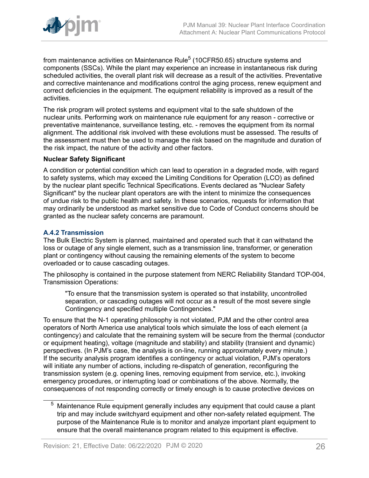

from maintenance activities on Maintenance Rule $^5$  (10CFR50.65) structure systems and components (SSCs). While the plant may experience an increase in instantaneous risk during scheduled activities, the overall plant risk will decrease as a result of the activities. Preventative and corrective maintenance and modifications control the aging process, renew equipment and correct deficiencies in the equipment. The equipment reliability is improved as a result of the activities.

The risk program will protect systems and equipment vital to the safe shutdown of the nuclear units. Performing work on maintenance rule equipment for any reason - corrective or preventative maintenance, surveillance testing, etc. - removes the equipment from its normal alignment. The additional risk involved with these evolutions must be assessed. The results of the assessment must then be used to manage the risk based on the magnitude and duration of the risk impact, the nature of the activity and other factors.

#### **Nuclear Safety Significant**

A condition or potential condition which can lead to operation in a degraded mode, with regard to safety systems, which may exceed the Limiting Conditions for Operation (LCO) as defined by the nuclear plant specific Technical Specifications. Events declared as "Nuclear Safety Significant" by the nuclear plant operators are with the intent to minimize the consequences of undue risk to the public health and safety. In these scenarios, requests for information that may ordinarily be understood as market sensitive due to Code of Conduct concerns should be granted as the nuclear safety concerns are paramount.

## **A.4.2 Transmission**

The Bulk Electric System is planned, maintained and operated such that it can withstand the loss or outage of any single element, such as a transmission line, transformer, or generation plant or contingency without causing the remaining elements of the system to become overloaded or to cause cascading outages.

The philosophy is contained in the purpose statement from NERC Reliability Standard TOP-004, Transmission Operations:

"To ensure that the transmission system is operated so that instability, uncontrolled separation, or cascading outages will not occur as a result of the most severe single Contingency and specified multiple Contingencies."

To ensure that the N-1 operating philosophy is not violated, PJM and the other control area operators of North America use analytical tools which simulate the loss of each element (a contingency) and calculate that the remaining system will be secure from the thermal (conductor or equipment heating), voltage (magnitude and stability) and stability (transient and dynamic) perspectives. (In PJM's case, the analysis is on-line, running approximately every minute.) If the security analysis program identifies a contingency or actual violation, PJM's operators will initiate any number of actions, including re-dispatch of generation, reconfiguring the transmission system (e.g. opening lines, removing equipment from service, etc.), invoking emergency procedures, or interrupting load or combinations of the above. Normally, the consequences of not responding correctly or timely enough is to cause protective devices on

 $5$  Maintenance Rule equipment generally includes any equipment that could cause a plant trip and may include switchyard equipment and other non-safety related equipment. The purpose of the Maintenance Rule is to monitor and analyze important plant equipment to ensure that the overall maintenance program related to this equipment is effective.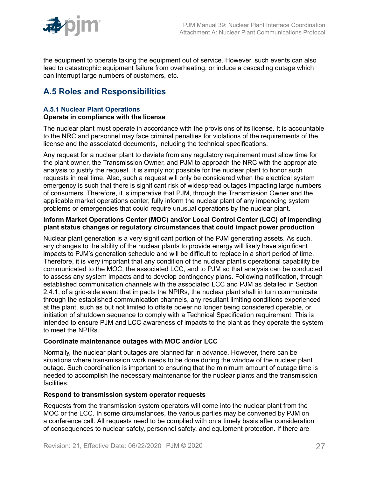

the equipment to operate taking the equipment out of service. However, such events can also lead to catastrophic equipment failure from overheating, or induce a cascading outage which can interrupt large numbers of customers, etc.

## <span id="page-26-0"></span>**A.5 Roles and Responsibilities**

#### **A.5.1 Nuclear Plant Operations Operate in compliance with the license**

The nuclear plant must operate in accordance with the provisions of its license. It is accountable to the NRC and personnel may face criminal penalties for violations of the requirements of the license and the associated documents, including the technical specifications.

Any request for a nuclear plant to deviate from any regulatory requirement must allow time for the plant owner, the Transmission Owner, and PJM to approach the NRC with the appropriate analysis to justify the request. It is simply not possible for the nuclear plant to honor such requests in real time. Also, such a request will only be considered when the electrical system emergency is such that there is significant risk of widespread outages impacting large numbers of consumers. Therefore, it is imperative that PJM, through the Transmission Owner and the applicable market operations center, fully inform the nuclear plant of any impending system problems or emergencies that could require unusual operations by the nuclear plant.

#### **Inform Market Operations Center (MOC) and/or Local Control Center (LCC) of impending plant status changes or regulatory circumstances that could impact power production**

Nuclear plant generation is a very significant portion of the PJM generating assets. As such, any changes to the ability of the nuclear plants to provide energy will likely have significant impacts to PJM's generation schedule and will be difficult to replace in a short period of time. Therefore, it is very important that any condition of the nuclear plant's operational capability be communicated to the MOC, the associated LCC, and to PJM so that analysis can be conducted to assess any system impacts and to develop contingency plans. Following notification, through established communication channels with the associated LCC and PJM as detailed in Section 2.4.1, of a grid-side event that impacts the NPIRs, the nuclear plant shall in turn communicate through the established communication channels, any resultant limiting conditions experienced at the plant, such as but not limited to offsite power no longer being considered operable, or initiation of shutdown sequence to comply with a Technical Specification requirement. This is intended to ensure PJM and LCC awareness of impacts to the plant as they operate the system to meet the NPIRs.

## **Coordinate maintenance outages with MOC and/or LCC**

Normally, the nuclear plant outages are planned far in advance. However, there can be situations where transmission work needs to be done during the window of the nuclear plant outage. Such coordination is important to ensuring that the minimum amount of outage time is needed to accomplish the necessary maintenance for the nuclear plants and the transmission facilities.

## **Respond to transmission system operator requests**

Requests from the transmission system operators will come into the nuclear plant from the MOC or the LCC. In some circumstances, the various parties may be convened by PJM on a conference call. All requests need to be complied with on a timely basis after consideration of consequences to nuclear safety, personnel safety, and equipment protection. If there are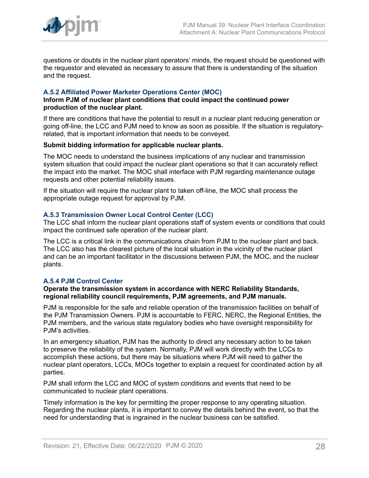

questions or doubts in the nuclear plant operators' minds, the request should be questioned with the requestor and elevated as necessary to assure that there is understanding of the situation and the request.

### **A.5.2 Affiliated Power Marketer Operations Center (MOC)**

#### **Inform PJM of nuclear plant conditions that could impact the continued power production of the nuclear plant.**

If there are conditions that have the potential to result in a nuclear plant reducing generation or going off-line, the LCC and PJM need to know as soon as possible. If the situation is regulatoryrelated, that is important information that needs to be conveyed.

#### **Submit bidding information for applicable nuclear plants.**

The MOC needs to understand the business implications of any nuclear and transmission system situation that could impact the nuclear plant operations so that it can accurately reflect the impact into the market. The MOC shall interface with PJM regarding maintenance outage requests and other potential reliability issues.

If the situation will require the nuclear plant to taken off-line, the MOC shall process the appropriate outage request for approval by PJM.

#### **A.5.3 Transmission Owner Local Control Center (LCC)**

The LCC shall inform the nuclear plant operations staff of system events or conditions that could impact the continued safe operation of the nuclear plant.

The LCC is a critical link in the communications chain from PJM to the nuclear plant and back. The LCC also has the clearest picture of the local situation in the vicinity of the nuclear plant and can be an important facilitator in the discussions between PJM, the MOC, and the nuclear plants.

## **A.5.4 PJM Control Center**

#### **Operate the transmission system in accordance with NERC Reliability Standards, regional reliability council requirements, PJM agreements, and PJM manuals.**

PJM is responsible for the safe and reliable operation of the transmission facilities on behalf of the PJM Transmission Owners. PJM is accountable to FERC, NERC, the Regional Entities, the PJM members, and the various state regulatory bodies who have oversight responsibility for PJM's activities.

In an emergency situation, PJM has the authority to direct any necessary action to be taken to preserve the reliability of the system. Normally, PJM will work directly with the LCCs to accomplish these actions, but there may be situations where PJM will need to gather the nuclear plant operators, LCCs, MOCs together to explain a request for coordinated action by all parties.

PJM shall inform the LCC and MOC of system conditions and events that need to be communicated to nuclear plant operations.

Timely information is the key for permitting the proper response to any operating situation. Regarding the nuclear plants, it is important to convey the details behind the event, so that the need for understanding that is ingrained in the nuclear business can be satisfied.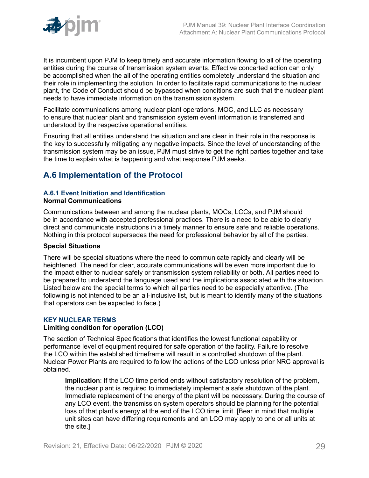

It is incumbent upon PJM to keep timely and accurate information flowing to all of the operating entities during the course of transmission system events. Effective concerted action can only be accomplished when the all of the operating entities completely understand the situation and their role in implementing the solution. In order to facilitate rapid communications to the nuclear plant, the Code of Conduct should be bypassed when conditions are such that the nuclear plant needs to have immediate information on the transmission system.

Facilitate communications among nuclear plant operations, MOC, and LLC as necessary to ensure that nuclear plant and transmission system event information is transferred and understood by the respective operational entities.

Ensuring that all entities understand the situation and are clear in their role in the response is the key to successfully mitigating any negative impacts. Since the level of understanding of the transmission system may be an issue, PJM must strive to get the right parties together and take the time to explain what is happening and what response PJM seeks.

## <span id="page-28-0"></span>**A.6 Implementation of the Protocol**

## **A.6.1 Event Initiation and Identification**

#### **Normal Communications**

Communications between and among the nuclear plants, MOCs, LCCs, and PJM should be in accordance with accepted professional practices. There is a need to be able to clearly direct and communicate instructions in a timely manner to ensure safe and reliable operations. Nothing in this protocol supersedes the need for professional behavior by all of the parties.

## **Special Situations**

There will be special situations where the need to communicate rapidly and clearly will be heightened. The need for clear, accurate communications will be even more important due to the impact either to nuclear safety or transmission system reliability or both. All parties need to be prepared to understand the language used and the implications associated with the situation. Listed below are the special terms to which all parties need to be especially attentive. (The following is not intended to be an all-inclusive list, but is meant to identify many of the situations that operators can be expected to face.)

## **KEY NUCLEAR TERMS**

## **Limiting condition for operation (LCO)**

The section of Technical Specifications that identifies the lowest functional capability or performance level of equipment required for safe operation of the facility. Failure to resolve the LCO within the established timeframe will result in a controlled shutdown of the plant. Nuclear Power Plants are required to follow the actions of the LCO unless prior NRC approval is obtained.

**Implication**: If the LCO time period ends without satisfactory resolution of the problem, the nuclear plant is required to immediately implement a safe shutdown of the plant. Immediate replacement of the energy of the plant will be necessary. During the course of any LCO event, the transmission system operators should be planning for the potential loss of that plant's energy at the end of the LCO time limit. [Bear in mind that multiple unit sites can have differing requirements and an LCO may apply to one or all units at the site.]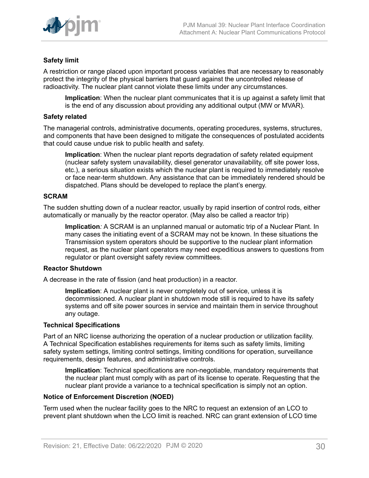

## **Safety limit**

A restriction or range placed upon important process variables that are necessary to reasonably protect the integrity of the physical barriers that guard against the uncontrolled release of radioactivity. The nuclear plant cannot violate these limits under any circumstances.

**Implication**: When the nuclear plant communicates that it is up against a safety limit that is the end of any discussion about providing any additional output (MW or MVAR).

#### **Safety related**

The managerial controls, administrative documents, operating procedures, systems, structures, and components that have been designed to mitigate the consequences of postulated accidents that could cause undue risk to public health and safety.

**Implication**: When the nuclear plant reports degradation of safety related equipment (nuclear safety system unavailability, diesel generator unavailability, off site power loss, etc.), a serious situation exists which the nuclear plant is required to immediately resolve or face near-term shutdown. Any assistance that can be immediately rendered should be dispatched. Plans should be developed to replace the plant's energy.

#### **SCRAM**

The sudden shutting down of a nuclear reactor, usually by rapid insertion of control rods, either automatically or manually by the reactor operator. (May also be called a reactor trip)

**Implication***:* A SCRAM is an unplanned manual or automatic trip of a Nuclear Plant. In many cases the initiating event of a SCRAM may not be known. In these situations the Transmission system operators should be supportive to the nuclear plant information request, as the nuclear plant operators may need expeditious answers to questions from regulator or plant oversight safety review committees.

#### **Reactor Shutdown**

A decrease in the rate of fission (and heat production) in a reactor.

**Implication**: A nuclear plant is never completely out of service, unless it is decommissioned. A nuclear plant in shutdown mode still is required to have its safety systems and off site power sources in service and maintain them in service throughout any outage.

#### **Technical Specifications**

Part of an NRC license authorizing the operation of a nuclear production or utilization facility. A Technical Specification establishes requirements for items such as safety limits, limiting safety system settings, limiting control settings, limiting conditions for operation, surveillance requirements, design features, and administrative controls.

**Implication**: Technical specifications are non-negotiable, mandatory requirements that the nuclear plant must comply with as part of its license to operate. Requesting that the nuclear plant provide a variance to a technical specification is simply not an option.

#### **Notice of Enforcement Discretion (NOED)**

Term used when the nuclear facility goes to the NRC to request an extension of an LCO to prevent plant shutdown when the LCO limit is reached. NRC can grant extension of LCO time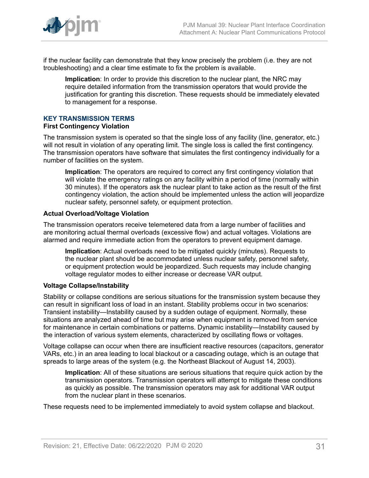

if the nuclear facility can demonstrate that they know precisely the problem (i.e. they are not troubleshooting) and a clear time estimate to fix the problem is available.

**Implication**: In order to provide this discretion to the nuclear plant, the NRC may require detailed information from the transmission operators that would provide the justification for granting this discretion. These requests should be immediately elevated to management for a response.

## **KEY TRANSMISSION TERMS**

#### **First Contingency Violation**

The transmission system is operated so that the single loss of any facility (line, generator, etc.) will not result in violation of any operating limit. The single loss is called the first contingency. The transmission operators have software that simulates the first contingency individually for a number of facilities on the system.

**Implication**: The operators are required to correct any first contingency violation that will violate the emergency ratings on any facility within a period of time (normally within 30 minutes). If the operators ask the nuclear plant to take action as the result of the first contingency violation, the action should be implemented unless the action will jeopardize nuclear safety, personnel safety, or equipment protection.

#### **Actual Overload/Voltage Violation**

The transmission operators receive telemetered data from a large number of facilities and are monitoring actual thermal overloads (excessive flow) and actual voltages. Violations are alarmed and require immediate action from the operators to prevent equipment damage.

**Implication**: Actual overloads need to be mitigated quickly (minutes). Requests to the nuclear plant should be accommodated unless nuclear safety, personnel safety, or equipment protection would be jeopardized. Such requests may include changing voltage regulator modes to either increase or decrease VAR output.

## **Voltage Collapse/Instability**

Stability or collapse conditions are serious situations for the transmission system because they can result in significant loss of load in an instant. Stability problems occur in two scenarios: Transient instability—Instability caused by a sudden outage of equipment. Normally, these situations are analyzed ahead of time but may arise when equipment is removed from service for maintenance in certain combinations or patterns. Dynamic instability—Instability caused by the interaction of various system elements, characterized by oscillating flows or voltages.

Voltage collapse can occur when there are insufficient reactive resources (capacitors, generator VARs, etc.) in an area leading to local blackout or a cascading outage, which is an outage that spreads to large areas of the system (e.g. the Northeast Blackout of August 14, 2003).

**Implication**: All of these situations are serious situations that require quick action by the transmission operators. Transmission operators will attempt to mitigate these conditions as quickly as possible. The transmission operators may ask for additional VAR output from the nuclear plant in these scenarios.

These requests need to be implemented immediately to avoid system collapse and blackout.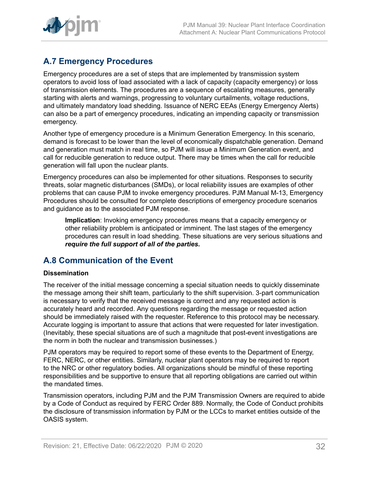

## <span id="page-31-0"></span>**A.7 Emergency Procedures**

Emergency procedures are a set of steps that are implemented by transmission system operators to avoid loss of load associated with a lack of capacity (capacity emergency) or loss of transmission elements. The procedures are a sequence of escalating measures, generally starting with alerts and warnings, progressing to voluntary curtailments, voltage reductions, and ultimately mandatory load shedding. Issuance of NERC EEAs (Energy Emergency Alerts) can also be a part of emergency procedures, indicating an impending capacity or transmission emergency.

Another type of emergency procedure is a Minimum Generation Emergency. In this scenario, demand is forecast to be lower than the level of economically dispatchable generation. Demand and generation must match in real time, so PJM will issue a Minimum Generation event, and call for reducible generation to reduce output. There may be times when the call for reducible generation will fall upon the nuclear plants.

Emergency procedures can also be implemented for other situations. Responses to security threats, solar magnetic disturbances (SMDs), or local reliability issues are examples of other problems that can cause PJM to invoke emergency procedures. PJM Manual M-13, Emergency Procedures should be consulted for complete descriptions of emergency procedure scenarios and guidance as to the associated PJM response.

**Implication**: Invoking emergency procedures means that a capacity emergency or other reliability problem is anticipated or imminent. The last stages of the emergency procedures can result in load shedding. These situations are very serious situations and *require the full support of all of the parties.*

## <span id="page-31-1"></span>**A.8 Communication of the Event**

## **Dissemination**

The receiver of the initial message concerning a special situation needs to quickly disseminate the message among their shift team, particularly to the shift supervision. 3-part communication is necessary to verify that the received message is correct and any requested action is accurately heard and recorded. Any questions regarding the message or requested action should be immediately raised with the requester. Reference to this protocol may be necessary. Accurate logging is important to assure that actions that were requested for later investigation. (Inevitably, these special situations are of such a magnitude that post-event investigations are the norm in both the nuclear and transmission businesses.)

PJM operators may be required to report some of these events to the Department of Energy, FERC, NERC, or other entities. Similarly, nuclear plant operators may be required to report to the NRC or other regulatory bodies. All organizations should be mindful of these reporting responsibilities and be supportive to ensure that all reporting obligations are carried out within the mandated times.

Transmission operators, including PJM and the PJM Transmission Owners are required to abide by a Code of Conduct as required by FERC Order 889. Normally, the Code of Conduct prohibits the disclosure of transmission information by PJM or the LCCs to market entities outside of the OASIS system.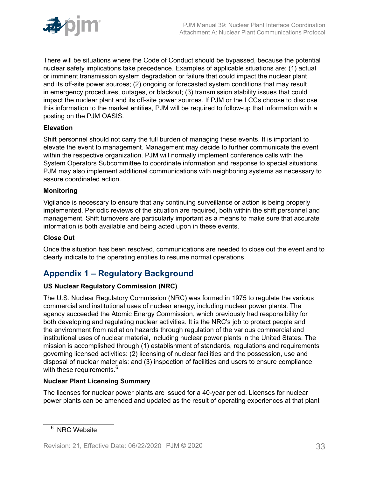

There will be situations where the Code of Conduct should be bypassed, because the potential nuclear safety implications take precedence. Examples of applicable situations are: (1) actual or imminent transmission system degradation or failure that could impact the nuclear plant and its off-site power sources; (2) ongoing or forecasted system conditions that may result in emergency procedures, outages, or blackout; (3) transmission stability issues that could impact the nuclear plant and its off-site power sources. If PJM or the LCCs choose to disclose this information to the market entiti*e*s, PJM will be required to follow-up that information with a posting on the PJM OASIS.

## **Elevation**

Shift personnel should not carry the full burden of managing these events. It is important to elevate the event to management. Management may decide to further communicate the event within the respective organization. PJM will normally implement conference calls with the System Operators Subcommittee to coordinate information and response to special situations. PJM may also implement additional communications with neighboring systems as necessary to assure coordinated action.

## **Monitoring**

Vigilance is necessary to ensure that any continuing surveillance or action is being properly implemented. Periodic reviews of the situation are required, both within the shift personnel and management. Shift turnovers are particularly important as a means to make sure that accurate information is both available and being acted upon in these events.

### **Close Out**

Once the situation has been resolved, communications are needed to close out the event and to clearly indicate to the operating entities to resume normal operations.

## <span id="page-32-0"></span>**Appendix 1 – Regulatory Background**

## **US Nuclear Regulatory Commission (NRC)**

The U.S. Nuclear Regulatory Commission (NRC) was formed in 1975 to regulate the various commercial and institutional uses of nuclear energy, including nuclear power plants. The agency succeeded the Atomic Energy Commission, which previously had responsibility for both developing and regulating nuclear activities. It is the NRC's job to protect people and the environment from radiation hazards through regulation of the various commercial and institutional uses of nuclear material, including nuclear power plants in the United States. The mission is accomplished through (1) establishment of standards, regulations and requirements governing licensed activities: (2) licensing of nuclear facilities and the possession, use and disposal of nuclear materials: and (3) inspection of facilities and users to ensure compliance with these requirements.<sup>6</sup>

## **Nuclear Plant Licensing Summary**

The licenses for nuclear power plants are issued for a 40-year period. Licenses for nuclear power plants can be amended and updated as the result of operating experiences at that plant

<sup>&</sup>lt;sup>6</sup> NRC Website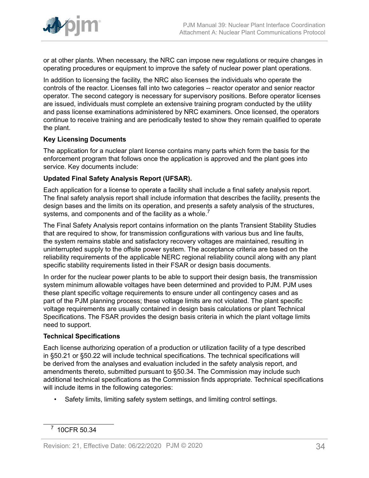

or at other plants. When necessary, the NRC can impose new regulations or require changes in operating procedures or equipment to improve the safety of nuclear power plant operations.

In addition to licensing the facility, the NRC also licenses the individuals who operate the controls of the reactor. Licenses fall into two categories -- reactor operator and senior reactor operator. The second category is necessary for supervisory positions. Before operator licenses are issued, individuals must complete an extensive training program conducted by the utility and pass license examinations administered by NRC examiners. Once licensed, the operators continue to receive training and are periodically tested to show they remain qualified to operate the plant.

## **Key Licensing Documents**

The application for a nuclear plant license contains many parts which form the basis for the enforcement program that follows once the application is approved and the plant goes into service. Key documents include:

## **Updated Final Safety Analysis Report (UFSAR).**

Each application for a license to operate a facility shall include a final safety analysis report. The final safety analysis report shall include information that describes the facility, presents the design bases and the limits on its operation, and presents a safety analysis of the structures, systems, and components and of the facility as a whole.<sup>7</sup>

The Final Safety Analysis report contains information on the plants Transient Stability Studies that are required to show, for transmission configurations with various bus and line faults, the system remains stable and satisfactory recovery voltages are maintained, resulting in uninterrupted supply to the offsite power system. The acceptance criteria are based on the reliability requirements of the applicable NERC regional reliability council along with any plant specific stability requirements listed in their FSAR or design basis documents.

In order for the nuclear power plants to be able to support their design basis, the transmission system minimum allowable voltages have been determined and provided to PJM. PJM uses these plant specific voltage requirements to ensure under all contingency cases and as part of the PJM planning process; these voltage limits are not violated. The plant specific voltage requirements are usually contained in design basis calculations or plant Technical Specifications. The FSAR provides the design basis criteria in which the plant voltage limits need to support.

## **Technical Specifications**

Each license authorizing operation of a production or utilization facility of a type described in §50.21 or §50.22 will include technical specifications. The technical specifications will be derived from the analyses and evaluation included in the safety analysis report, and amendments thereto, submitted pursuant to §50.34. The Commission may include such additional technical specifications as the Commission finds appropriate. Technical specifications will include items in the following categories:

• Safety limits, limiting safety system settings, and limiting control settings.

<sup>7</sup> 10CFR 50.34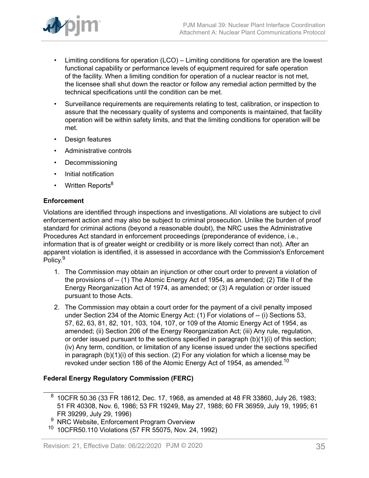

- Limiting conditions for operation (LCO) Limiting conditions for operation are the lowest functional capability or performance levels of equipment required for safe operation of the facility. When a limiting condition for operation of a nuclear reactor is not met, the licensee shall shut down the reactor or follow any remedial action permitted by the technical specifications until the condition can be met.
- Surveillance requirements are requirements relating to test, calibration, or inspection to assure that the necessary quality of systems and components is maintained, that facility operation will be within safety limits, and that the limiting conditions for operation will be met.
- Design features
- Administrative controls
- Decommissioning
- Initial notification
- Written Reports<sup>8</sup>

## **Enforcement**

Violations are identified through inspections and investigations. All violations are subject to civil enforcement action and may also be subject to criminal prosecution. Unlike the burden of proof standard for criminal actions (beyond a reasonable doubt), the NRC uses the Administrative Procedures Act standard in enforcement proceedings (preponderance of evidence, i.e., information that is of greater weight or credibility or is more likely correct than not). After an apparent violation is identified, it is assessed in accordance with the Commission's Enforcement Policy.<sup>9</sup>

- 1. The Commission may obtain an injunction or other court order to prevent a violation of the provisions of -- (1) The Atomic Energy Act of 1954, as amended; (2) Title II of the Energy Reorganization Act of 1974, as amended; or (3) A regulation or order issued pursuant to those Acts.
- 2. The Commission may obtain a court order for the payment of a civil penalty imposed under Section 234 of the Atomic Energy Act: (1) For violations of -- (i) Sections 53, 57, 62, 63, 81, 82, 101, 103, 104, 107, or 109 of the Atomic Energy Act of 1954, as amended; (ii) Section 206 of the Energy Reorganization Act; (iii) Any rule, regulation, or order issued pursuant to the sections specified in paragraph (b)(1)(i) of this section; (iv) Any term, condition, or limitation of any license issued under the sections specified in paragraph (b)(1)(i) of this section. (2) For any violation for which a license may be revoked under section 186 of the Atomic Energy Act of 1954, as amended.<sup>10</sup>

## **Federal Energy Regulatory Commission (FERC)**

 $^8\,$  10CFR 50.36 (33 FR 18612, Dec. 17, 1968, as amended at 48 FR 33860, July 26, 1983; 51 FR 40308, Nov. 6, 1986; 53 FR 19249, May 27, 1988; 60 FR 36959, July 19, 1995; 61 FR 39299, July 29, 1996)

NRC Website, Enforcement Program Overview

<sup>10</sup> 10CFR50.110 Violations (57 FR 55075, Nov. 24, 1992)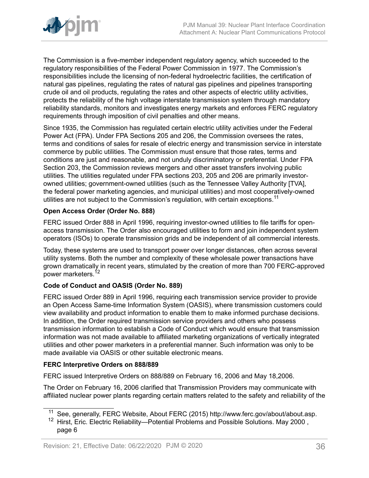

The Commission is a five-member independent regulatory agency, which succeeded to the regulatory responsibilities of the Federal Power Commission in 1977. The Commission's responsibilities include the licensing of non-federal hydroelectric facilities, the certification of natural gas pipelines, regulating the rates of natural gas pipelines and pipelines transporting crude oil and oil products, regulating the rates and other aspects of electric utility activities, protects the reliability of the high voltage interstate transmission system through mandatory reliability standards, monitors and investigates energy markets and enforces FERC regulatory requirements through imposition of civil penalties and other means.

Since 1935, the Commission has regulated certain electric utility activities under the Federal Power Act (FPA). Under FPA Sections 205 and 206, the Commission oversees the rates, terms and conditions of sales for resale of electric energy and transmission service in interstate commerce by public utilities. The Commission must ensure that those rates, terms and conditions are just and reasonable, and not unduly discriminatory or preferential. Under FPA Section 203, the Commission reviews mergers and other asset transfers involving public utilities. The utilities regulated under FPA sections 203, 205 and 206 are primarily investorowned utilities; government-owned utilities (such as the Tennessee Valley Authority [TVA], the federal power marketing agencies, and municipal utilities) and most cooperatively-owned utilities are not subject to the Commission's regulation, with certain exceptions.<sup>11</sup>

## **Open Access Order (Order No. 888)**

FERC issued Order 888 in April 1996, requiring investor-owned utilities to file tariffs for openaccess transmission. The Order also encouraged utilities to form and join independent system operators (ISOs) to operate transmission grids and be independent of all commercial interests.

Today, these systems are used to transport power over longer distances, often across several utility systems. Both the number and complexity of these wholesale power transactions have grown dramatically in recent years, stimulated by the creation of more than 700 FERC-approved power marketers.<sup>12</sup>

## **Code of Conduct and OASIS (Order No. 889)**

FERC issued Order 889 in April 1996, requiring each transmission service provider to provide an Open Access Same-time Information System (OASIS), where transmission customers could view availability and product information to enable them to make informed purchase decisions. In addition, the Order required transmission service providers and others who possess transmission information to establish a Code of Conduct which would ensure that transmission information was not made available to affiliated marketing organizations of vertically integrated utilities and other power marketers in a preferential manner. Such information was only to be made available via OASIS or other suitable electronic means.

## **FERC Interpretive Orders on 888/889**

FERC issued Interpretive Orders on 888/889 on February 16, 2006 and May 18,2006.

The Order on February 16, 2006 clarified that Transmission Providers may communicate with affiliated nuclear power plants regarding certain matters related to the safety and reliability of the

<sup>&</sup>lt;sup>11</sup> See, generally, FERC Website, About FERC (2015) http://www.ferc.gov/about/about.asp.

<sup>&</sup>lt;sup>12</sup> Hirst, Eric. Electric Reliability—Potential Problems and Possible Solutions. May 2000, page 6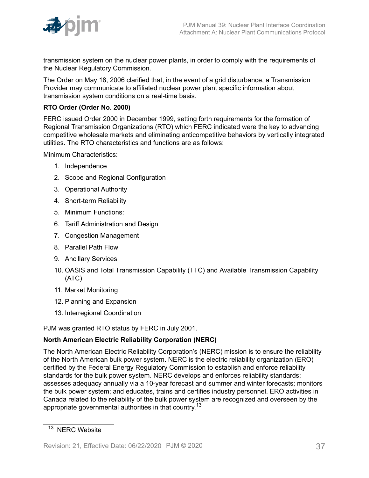

transmission system on the nuclear power plants, in order to comply with the requirements of the Nuclear Regulatory Commission.

The Order on May 18, 2006 clarified that, in the event of a grid disturbance, a Transmission Provider may communicate to affiliated nuclear power plant specific information about transmission system conditions on a real-time basis.

## **RTO Order (Order No. 2000)**

FERC issued Order 2000 in December 1999, setting forth requirements for the formation of Regional Transmission Organizations (RTO) which FERC indicated were the key to advancing competitive wholesale markets and eliminating anticompetitive behaviors by vertically integrated utilities. The RTO characteristics and functions are as follows:

Minimum Characteristics:

- 1. Independence
- 2. Scope and Regional Configuration
- 3. Operational Authority
- 4. Short-term Reliability
- 5. Minimum Functions:
- 6. Tariff Administration and Design
- 7. Congestion Management
- 8. Parallel Path Flow
- 9. Ancillary Services
- 10. OASIS and Total Transmission Capability (TTC) and Available Transmission Capability (ATC)
- 11. Market Monitoring
- 12. Planning and Expansion
- 13. Interregional Coordination

PJM was granted RTO status by FERC in July 2001.

## **North American Electric Reliability Corporation (NERC)**

The North American Electric Reliability Corporation's (NERC) mission is to ensure the reliability of the North American bulk power system. NERC is the electric reliability organization (ERO) certified by the Federal Energy Regulatory Commission to establish and enforce reliability standards for the bulk power system. NERC develops and enforces reliability standards; assesses adequacy annually via a 10-year forecast and summer and winter forecasts; monitors the bulk power system; and educates, trains and certifies industry personnel. ERO activities in Canada related to the reliability of the bulk power system are recognized and overseen by the appropriate governmental authorities in that country.<sup>13</sup>

<sup>&</sup>lt;sup>13</sup> NERC Website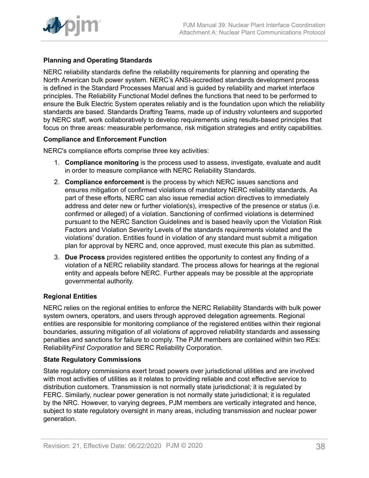

## **Planning and Operating Standards**

NERC reliability standards define the reliability requirements for planning and operating the North American bulk power system. NERC's ANSI-accredited standards development process is defined in the Standard Processes Manual and is guided by reliability and market interface principles. The Reliability Functional Model defines the functions that need to be performed to ensure the Bulk Electric System operates reliably and is the foundation upon which the reliability standards are based. Standards Drafting Teams, made up of industry volunteers and supported by NERC staff, work collaboratively to develop requirements using results-based principles that focus on three areas: measurable performance, risk mitigation strategies and entity capabilities.

## **Compliance and Enforcement Function**

NERC's compliance efforts comprise three key activities:

- 1. **Compliance monitoring** is the process used to assess, investigate, evaluate and audit in order to measure compliance with NERC Reliability Standards.
- 2. **Compliance enforcement** is the process by which NERC issues sanctions and ensures mitigation of confirmed violations of mandatory NERC reliability standards. As part of these efforts, NERC can also issue remedial action directives to immediately address and deter new or further violation(s), irrespective of the presence or status (i.e. confirmed or alleged) of a violation. Sanctioning of confirmed violations is determined pursuant to the NERC Sanction Guidelines and is based heavily upon the Violation Risk Factors and Violation Severity Levels of the standards requirements violated and the violations' duration. Entities found in violation of any standard must submit a mitigation plan for approval by NERC and, once approved, must execute this plan as submitted.
- 3. **Due Process** provides registered entities the opportunity to contest any finding of a violation of a NERC reliability standard. The process allows for hearings at the regional entity and appeals before NERC. Further appeals may be possible at the appropriate governmental authority.

## **Regional Entities**

NERC relies on the regional entities to enforce the NERC Reliability Standards with bulk power system owners, operators, and users through approved delegation agreements. Regional entities are responsible for monitoring compliance of the registered entities within their regional boundaries, assuring mitigation of all violations of approved reliability standards and assessing penalties and sanctions for failure to comply. The PJM members are contained within two REs: Reliability*First Corporation* and SERC Reliability Corporation.

## **State Regulatory Commissions**

State regulatory commissions exert broad powers over jurisdictional utilities and are involved with most activities of utilities as it relates to providing reliable and cost effective service to distribution customers. Transmission is not normally state jurisdictional; it is regulated by FERC. Similarly, nuclear power generation is not normally state jurisdictional; it is regulated by the NRC. However, to varying degrees, PJM members are vertically integrated and hence, subject to state regulatory oversight in many areas, including transmission and nuclear power generation.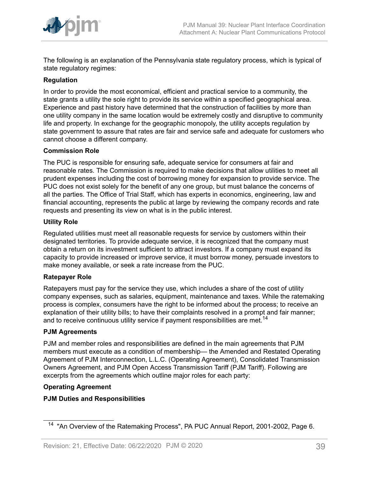

The following is an explanation of the Pennsylvania state regulatory process, which is typical of state regulatory regimes:

## **Regulation**

In order to provide the most economical, efficient and practical service to a community, the state grants a utility the sole right to provide its service within a specified geographical area. Experience and past history have determined that the construction of facilities by more than one utility company in the same location would be extremely costly and disruptive to community life and property. In exchange for the geographic monopoly, the utility accepts regulation by state government to assure that rates are fair and service safe and adequate for customers who cannot choose a different company.

## **Commission Role**

The PUC is responsible for ensuring safe, adequate service for consumers at fair and reasonable rates. The Commission is required to make decisions that allow utilities to meet all prudent expenses including the cost of borrowing money for expansion to provide service. The PUC does not exist solely for the benefit of any one group, but must balance the concerns of all the parties. The Office of Trial Staff, which has experts in economics, engineering, law and financial accounting, represents the public at large by reviewing the company records and rate requests and presenting its view on what is in the public interest.

## **Utility Role**

Regulated utilities must meet all reasonable requests for service by customers within their designated territories. To provide adequate service, it is recognized that the company must obtain a return on its investment sufficient to attract investors. If a company must expand its capacity to provide increased or improve service, it must borrow money, persuade investors to make money available, or seek a rate increase from the PUC.

## **Ratepayer Role**

Ratepayers must pay for the service they use, which includes a share of the cost of utility company expenses, such as salaries, equipment, maintenance and taxes. While the ratemaking process is complex, consumers have the right to be informed about the process; to receive an explanation of their utility bills; to have their complaints resolved in a prompt and fair manner; and to receive continuous utility service if payment responsibilities are met.<sup>14</sup>

## **PJM Agreements**

PJM and member roles and responsibilities are defined in the main agreements that PJM members must execute as a condition of membership— the Amended and Restated Operating Agreement of PJM Interconnection, L.L.C. (Operating Agreement), Consolidated Transmission Owners Agreement, and PJM Open Access Transmission Tariff (PJM Tariff). Following are excerpts from the agreements which outline major roles for each party:

## **Operating Agreement**

## **PJM Duties and Responsibilities**

<sup>&</sup>lt;sup>14</sup> "An Overview of the Ratemaking Process", PA PUC Annual Report, 2001-2002, Page 6.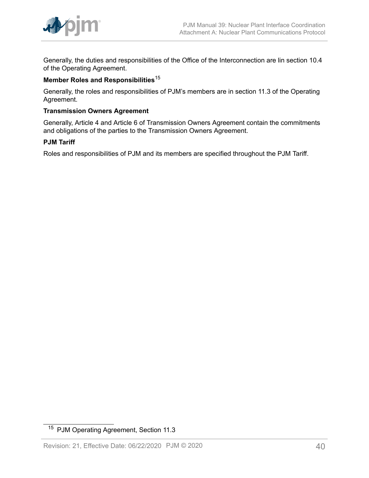

Generally, the duties and responsibilities of the Office of the Interconnection are lin section 10.4 of the Operating Agreement.

## **Member Roles and Responsibilities**<sup>15</sup>

Generally, the roles and responsibilities of PJM's members are in section 11.3 of the Operating Agreement.

## **Transmission Owners Agreement**

Generally, Article 4 and Article 6 of Transmission Owners Agreement contain the commitments and obligations of the parties to the Transmission Owners Agreement.

## **PJM Tariff**

Roles and responsibilities of PJM and its members are specified throughout the PJM Tariff.

<sup>15</sup> PJM Operating Agreement, Section 11.3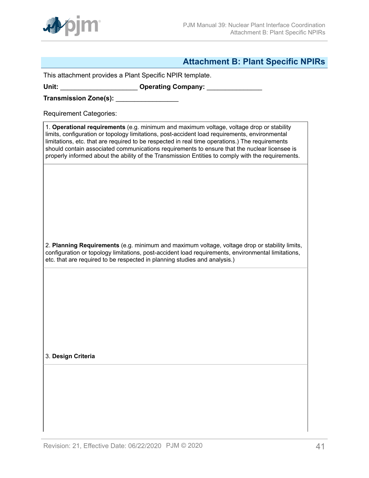

## <span id="page-40-0"></span>**Attachment B: Plant Specific NPIRs**

This attachment provides a Plant Specific NPIR template.

Unit: \_\_\_\_\_\_\_\_\_\_\_\_\_\_\_\_\_\_\_\_\_\_\_\_\_ Operating Company: \_\_\_\_\_\_\_\_\_\_\_\_\_\_\_\_\_\_\_\_\_\_\_\_\_\_\_\_\_\_

**Transmission Zone(s):** \_\_\_\_\_\_\_\_\_\_\_\_\_\_\_\_\_

Requirement Categories:

1. **Operational requirements** (e.g. minimum and maximum voltage, voltage drop or stability limits, configuration or topology limitations, post-accident load requirements, environmental limitations, etc. that are required to be respected in real time operations.) The requirements should contain associated communications requirements to ensure that the nuclear licensee is properly informed about the ability of the Transmission Entities to comply with the requirements.

2. **Planning Requirements** (e.g. minimum and maximum voltage, voltage drop or stability limits, configuration or topology limitations, post-accident load requirements, environmental limitations, etc. that are required to be respected in planning studies and analysis.)

3. **Design Criteria**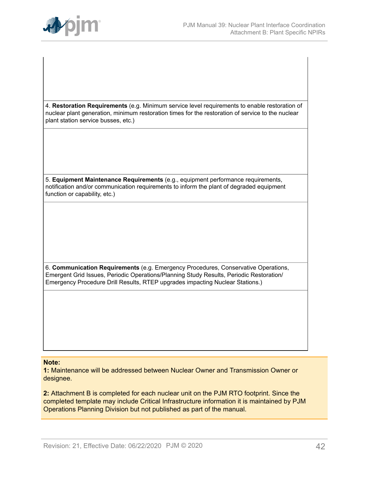

4. **Restoration Requirements** (e.g. Minimum service level requirements to enable restoration of nuclear plant generation, minimum restoration times for the restoration of service to the nuclear plant station service busses, etc.)

5. **Equipment Maintenance Requirements** (e.g., equipment performance requirements, notification and/or communication requirements to inform the plant of degraded equipment function or capability, etc.)

6. **Communication Requirements** (e.g. Emergency Procedures, Conservative Operations, Emergent Grid Issues, Periodic Operations/Planning Study Results, Periodic Restoration/ Emergency Procedure Drill Results, RTEP upgrades impacting Nuclear Stations.)

#### **Note:**

**1:** Maintenance will be addressed between Nuclear Owner and Transmission Owner or designee.

**2:** Attachment B is completed for each nuclear unit on the PJM RTO footprint. Since the completed template may include Critical Infrastructure information it is maintained by PJM Operations Planning Division but not published as part of the manual.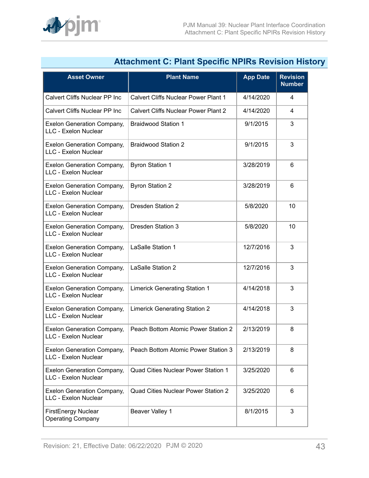

| Attachment C: Plant Specific NPIRS Revision Histo                |                                             |                 |                                  |
|------------------------------------------------------------------|---------------------------------------------|-----------------|----------------------------------|
| <b>Asset Owner</b>                                               | <b>Plant Name</b>                           | <b>App Date</b> | <b>Revision</b><br><b>Number</b> |
| <b>Calvert Cliffs Nuclear PP Inc</b>                             | <b>Calvert Cliffs Nuclear Power Plant 1</b> | 4/14/2020       | 4                                |
| Calvert Cliffs Nuclear PP Inc                                    | <b>Calvert Cliffs Nuclear Power Plant 2</b> | 4/14/2020       | 4                                |
| <b>Exelon Generation Company,</b><br>LLC - Exelon Nuclear        | <b>Braidwood Station 1</b>                  | 9/1/2015        | 3                                |
| <b>Exelon Generation Company,</b><br>LLC - Exelon Nuclear        | <b>Braidwood Station 2</b>                  | 9/1/2015        | 3                                |
| <b>Exelon Generation Company,</b><br>LLC - Exelon Nuclear        | <b>Byron Station 1</b>                      | 3/28/2019       | 6                                |
| <b>Exelon Generation Company,</b><br>LLC - Exelon Nuclear        | <b>Byron Station 2</b>                      | 3/28/2019       | 6                                |
| <b>Exelon Generation Company,</b><br><b>LLC - Exelon Nuclear</b> | <b>Dresden Station 2</b>                    | 5/8/2020        | 10                               |
| <b>Exelon Generation Company,</b><br>LLC - Exelon Nuclear        | <b>Dresden Station 3</b>                    | 5/8/2020        | 10                               |
| <b>Exelon Generation Company,</b><br>LLC - Exelon Nuclear        | LaSalle Station 1                           | 12/7/2016       | 3                                |
| <b>Exelon Generation Company,</b><br>LLC - Exelon Nuclear        | LaSalle Station 2                           | 12/7/2016       | 3                                |
| <b>Exelon Generation Company,</b><br><b>LLC - Exelon Nuclear</b> | <b>Limerick Generating Station 1</b>        | 4/14/2018       | 3                                |
| <b>Exelon Generation Company,</b><br>LLC - Exelon Nuclear        | <b>Limerick Generating Station 2</b>        | 4/14/2018       | 3                                |
| <b>Exelon Generation Company,</b><br>LLC - Exelon Nuclear        | Peach Bottom Atomic Power Station 2         | 2/13/2019       | 8                                |
| <b>Exelon Generation Company,</b><br>LLC - Exelon Nuclear        | Peach Bottom Atomic Power Station 3         | 2/13/2019       | 8                                |
| <b>Exelon Generation Company,</b><br>LLC - Exelon Nuclear        | Quad Cities Nuclear Power Station 1         | 3/25/2020       | 6                                |
| <b>Exelon Generation Company,</b><br>LLC - Exelon Nuclear        | <b>Quad Cities Nuclear Power Station 2</b>  | 3/25/2020       | 6                                |
| <b>FirstEnergy Nuclear</b><br><b>Operating Company</b>           | <b>Beaver Valley 1</b>                      | 8/1/2015        | 3                                |

## <span id="page-42-0"></span>**Attachment C: Plant Specific NPIRs Revision History**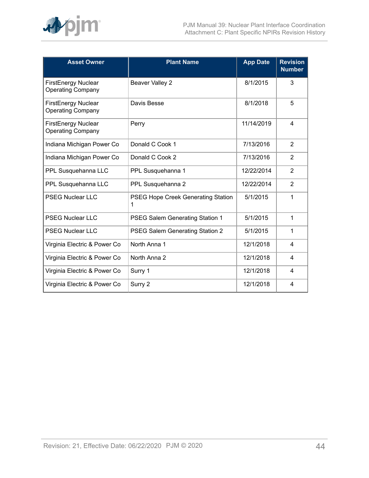

| <b>Asset Owner</b>                                     | <b>Plant Name</b>                       | <b>App Date</b> | <b>Revision</b><br><b>Number</b> |
|--------------------------------------------------------|-----------------------------------------|-----------------|----------------------------------|
| <b>FirstEnergy Nuclear</b><br><b>Operating Company</b> | <b>Beaver Valley 2</b>                  | 8/1/2015        | 3                                |
| <b>FirstEnergy Nuclear</b><br><b>Operating Company</b> | Davis Besse                             | 8/1/2018        | 5                                |
| <b>FirstEnergy Nuclear</b><br><b>Operating Company</b> | Perry                                   | 11/14/2019      | 4                                |
| Indiana Michigan Power Co                              | Donald C Cook 1                         | 7/13/2016       | $\overline{2}$                   |
| Indiana Michigan Power Co                              | Donald C Cook 2                         | 7/13/2016       | $\overline{2}$                   |
| PPL Susquehanna LLC                                    | PPL Susquehanna 1                       | 12/22/2014      | 2                                |
| PPL Susquehanna LLC                                    | PPL Susquehanna 2                       | 12/22/2014      | 2                                |
| <b>PSEG Nuclear LLC</b>                                | PSEG Hope Creek Generating Station<br>1 | 5/1/2015        | 1                                |
| <b>PSEG Nuclear LLC</b>                                | PSEG Salem Generating Station 1         | 5/1/2015        | 1                                |
| <b>PSEG Nuclear LLC</b>                                | PSEG Salem Generating Station 2         | 5/1/2015        | 1                                |
| Virginia Electric & Power Co                           | North Anna 1                            | 12/1/2018       | 4                                |
| Virginia Electric & Power Co                           | North Anna 2                            | 12/1/2018       | 4                                |
| Virginia Electric & Power Co                           | Surry 1                                 | 12/1/2018       | 4                                |
| Virginia Electric & Power Co                           | Surry 2                                 | 12/1/2018       | 4                                |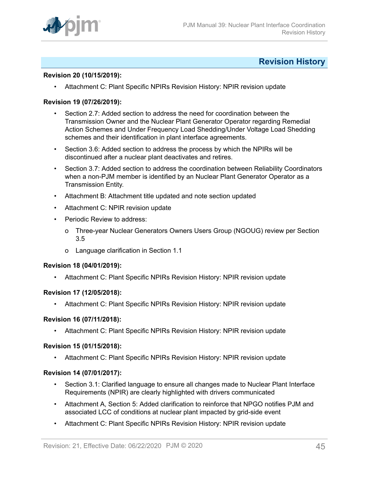

## <span id="page-44-0"></span>**Revision History**

### **Revision 20 (10/15/2019):**

• Attachment C: Plant Specific NPIRs Revision History: NPIR revision update

### **Revision 19 (07/26/2019):**

- Section 2.7: Added section to address the need for coordination between the Transmission Owner and the Nuclear Plant Generator Operator regarding Remedial Action Schemes and Under Frequency Load Shedding/Under Voltage Load Shedding schemes and their identification in plant interface agreements.
- Section 3.6: Added section to address the process by which the NPIRs will be discontinued after a nuclear plant deactivates and retires.
- Section 3.7: Added section to address the coordination between Reliability Coordinators when a non-PJM member is identified by an Nuclear Plant Generator Operator as a Transmission Entity.
- Attachment B: Attachment title updated and note section updated
- Attachment C: NPIR revision update
- Periodic Review to address:
	- o Three-year Nuclear Generators Owners Users Group (NGOUG) review per Section 3.5
	- o Language clarification in Section 1.1

#### **Revision 18 (04/01/2019):**

• Attachment C: Plant Specific NPIRs Revision History: NPIR revision update

#### **Revision 17 (12/05/2018):**

• Attachment C: Plant Specific NPIRs Revision History: NPIR revision update

#### **Revision 16 (07/11/2018):**

• Attachment C: Plant Specific NPIRs Revision History: NPIR revision update

#### **Revision 15 (01/15/2018):**

• Attachment C: Plant Specific NPIRs Revision History: NPIR revision update

#### **Revision 14 (07/01/2017):**

- Section 3.1: Clarified language to ensure all changes made to Nuclear Plant Interface Requirements (NPIR) are clearly highlighted with drivers communicated
- Attachment A, Section 5: Added clarification to reinforce that NPGO notifies PJM and associated LCC of conditions at nuclear plant impacted by grid-side event
- Attachment C: Plant Specific NPIRs Revision History: NPIR revision update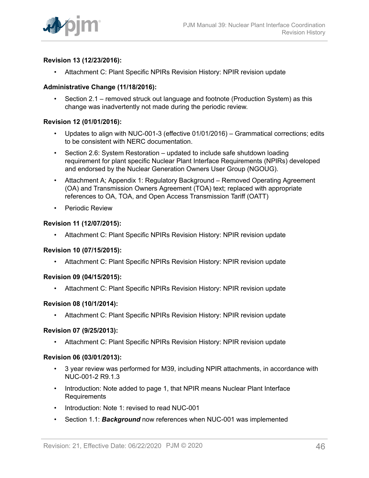

## **Revision 13 (12/23/2016):**

• Attachment C: Plant Specific NPIRs Revision History: NPIR revision update

## **Administrative Change (11/18/2016):**

• Section 2.1 – removed struck out language and footnote (Production System) as this change was inadvertently not made during the periodic review.

## **Revision 12 (01/01/2016):**

- Updates to align with NUC-001-3 (effective 01/01/2016) Grammatical corrections; edits to be consistent with NERC documentation.
- Section 2.6: System Restoration updated to include safe shutdown loading requirement for plant specific Nuclear Plant Interface Requirements (NPIRs) developed and endorsed by the Nuclear Generation Owners User Group (NGOUG).
- Attachment A; Appendix 1: Regulatory Background Removed Operating Agreement (OA) and Transmission Owners Agreement (TOA) text; replaced with appropriate references to OA, TOA, and Open Access Transmission Tariff (OATT)
- Periodic Review

#### **Revision 11 (12/07/2015):**

• Attachment C: Plant Specific NPIRs Revision History: NPIR revision update

#### **Revision 10 (07/15/2015):**

• Attachment C: Plant Specific NPIRs Revision History: NPIR revision update

#### **Revision 09 (04/15/2015):**

• Attachment C: Plant Specific NPIRs Revision History: NPIR revision update

#### **Revision 08 (10/1/2014):**

• Attachment C: Plant Specific NPIRs Revision History: NPIR revision update

#### **Revision 07 (9/25/2013):**

• Attachment C: Plant Specific NPIRs Revision History: NPIR revision update

#### **Revision 06 (03/01/2013):**

- 3 year review was performed for M39, including NPIR attachments, in accordance with NUC-001-2 R9.1.3
- Introduction: Note added to page 1, that NPIR means Nuclear Plant Interface Requirements
- Introduction: Note 1: revised to read NUC-001
- Section 1.1: *Background* now references when NUC-001 was implemented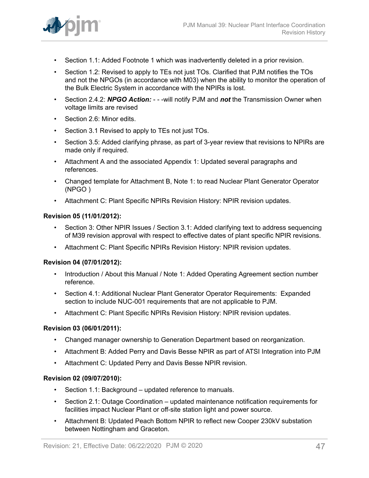

- Section 1.1: Added Footnote 1 which was inadvertently deleted in a prior revision.
- Section 1.2: Revised to apply to TEs not just TOs. Clarified that PJM notifies the TOs and not the NPGOs (in accordance with M03) when the ability to monitor the operation of the Bulk Electric System in accordance with the NPIRs is lost.
- Section 2.4.2: *NPGO Action:*  - -will notify PJM and *not* the Transmission Owner when voltage limits are revised
- Section 2.6: Minor edits.
- Section 3.1 Revised to apply to TEs not just TOs.
- Section 3.5: Added clarifying phrase, as part of 3-year review that revisions to NPIRs are made only if required.
- Attachment A and the associated Appendix 1: Updated several paragraphs and references.
- Changed template for Attachment B, Note 1: to read Nuclear Plant Generator Operator (NPGO )
- Attachment C: Plant Specific NPIRs Revision History: NPIR revision updates.

## **Revision 05 (11/01/2012):**

- Section 3: Other NPIR Issues / Section 3.1: Added clarifying text to address sequencing of M39 revision approval with respect to effective dates of plant specific NPIR revisions.
- Attachment C: Plant Specific NPIRs Revision History: NPIR revision updates.

## **Revision 04 (07/01/2012):**

- Introduction / About this Manual / Note 1: Added Operating Agreement section number reference.
- Section 4.1: Additional Nuclear Plant Generator Operator Requirements: Expanded section to include NUC-001 requirements that are not applicable to PJM.
- Attachment C: Plant Specific NPIRs Revision History: NPIR revision updates.

## **Revision 03 (06/01/2011):**

- Changed manager ownership to Generation Department based on reorganization.
- Attachment B: Added Perry and Davis Besse NPIR as part of ATSI Integration into PJM
- Attachment C: Updated Perry and Davis Besse NPIR revision.

## **Revision 02 (09/07/2010):**

- Section 1.1: Background updated reference to manuals.
- Section 2.1: Outage Coordination updated maintenance notification requirements for facilities impact Nuclear Plant or off-site station light and power source.
- Attachment B: Updated Peach Bottom NPIR to reflect new Cooper 230kV substation between Nottingham and Graceton.